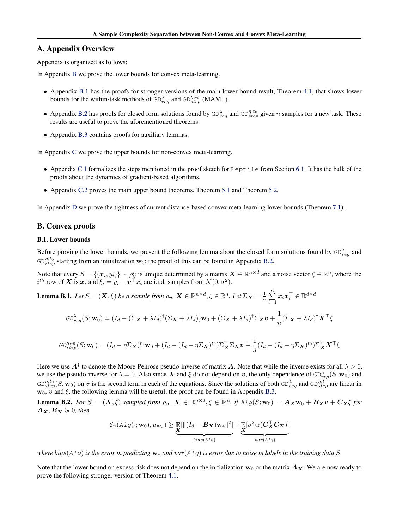# A. Appendix Overview

Appendix is organized as follows:

In Appendix [B](#page-10-0) we prove the lower bounds for convex meta-learning.

- Appendix [B.1](#page-10-0) has the proofs for stronger versions of the main lower bound result, Theorem [4.1,](#page-3-0) that shows lower bounds for the within-task methods of  $GD_{reg}^{\lambda}$  and  $GD_{step}^{\eta,t_0}$  (MAML).
- Appendix [B.2](#page-14-0) has proofs for closed form solutions found by  $GD_{reg}^{\lambda}$  and  $GD_{step}^{\eta,t_0}$  given *n* samples for a new task. These results are useful to prove the aforementioned theorems.
- *•* Appendix [B.3](#page-16-0) contains proofs for auxiliary lemmas.

In Appendix [C](#page--1-0) we prove the upper bounds for non-convex meta-learning.

- Appendix [C.1](#page--1-0) formalizes the steps mentioned in the proof sketch for Reptile from Section [6.1.](#page-5-0) It has the bulk of the proofs about the dynamics of gradient-based algorithms.
- Appendix [C.2](#page--1-0) proves the main upper bound theorems, Theorem [5.1](#page-4-0) and Theorem [5.2.](#page-5-0)

In Appendix [D](#page--1-0) we prove the tightness of current distance-based convex meta-learning lower bounds (Theorem [7.1\)](#page-7-0).

## B. Convex proofs

## B.1. Lower bounds

Before proving the lower bounds, we present the following lemma about the closed form solutions found by  $GD_{reg}^{\lambda}$  and  $G\mathcal{D}_{step}^{\eta,t_0}$  starting from an initialization  $\mathbf{w}_0$ ; the proof of this can be found in Appendix [B.2.](#page-14-0)

Note that every  $S = \{ (x_i, y_i) \} \sim \rho_{\underline{v}}^n$  is unique determined by a matrix  $\mathbf{X} \in \mathbb{R}^{n \times d}$  and a noise vector  $\xi \in \mathbb{R}^n$ , where the  $i^{th}$  row of *X* is  $x_i$  and  $\xi_i = y_i - \mathbf{v}^\top x_i$  are i.i.d. samples from  $\mathcal{N}(0, \sigma^2)$ .

Lemma B.1. Let  $S = (\mathbf{X}, \xi)$  be a sample from  $\rho_v$ ,  $\mathbf{X} \in \mathbb{R}^{n \times d}, \xi \in \mathbb{R}^n$ . Let  $\Sigma_{\mathbf{X}} = \frac{1}{n} \sum_{i=1}^n \mathbf{X}_i$  $\sum\limits_{i=1}^{\mathbf{\sum}}\boldsymbol{x}_i\boldsymbol{x}_i^{\top} \in \mathbb{R}^{d\times d}$ 

$$
GD_{reg}^{\lambda}(S; \mathbf{w}_0) = (I_d - (\Sigma_{\mathbf{X}} + \lambda I_d)^{\dagger} (\Sigma_{\mathbf{X}} + \lambda I_d)) \mathbf{w}_0 + (\Sigma_{\mathbf{X}} + \lambda I_d)^{\dagger} \Sigma_{\mathbf{X}} \mathbf{v} + \frac{1}{n} (\Sigma_{\mathbf{X}} + \lambda I_d)^{\dagger} \mathbf{X}^{\top} \xi
$$

$$
GD_{step}^{\eta,t_0}(S; \mathbf{w}_0) = (I_d - \eta \Sigma_{\mathbf{X}})^{t_0} \mathbf{w}_0 + (I_d - (I_d - \eta \Sigma_{\mathbf{X}})^{t_0}) \Sigma_{\mathbf{X}}^{\dagger} \Sigma_{\mathbf{X}} \mathbf{v} + \frac{1}{n} (I_d - (I_d - \eta \Sigma_{\mathbf{X}})^{t_0}) \Sigma_{\mathbf{X}}^{\dagger} \mathbf{X}^{\top} \xi
$$

Here we use  $A^{\dagger}$  to denote the Moore-Penrose pseudo-inverse of matrix A. Note that while the inverse exists for all  $\lambda > 0$ , we use the pseudo-inverse for  $\lambda = 0$ . Also since X and  $\xi$  do not depend on *v*, the only dependence of  $GD_{reg}^{\lambda}(S, w_0)$  and  $GD_{step}^{\eta,t_0}(S, \mathbf{w}_0)$  on *v* is the second term in each of the equations. Since the solutions of both  $GD_{reg}^{\lambda}$  and  $GD_{step}^{\eta,t_0}$  are linear in  $w_0$ ,  $v$  and  $\xi$ , the following lemma will be useful; the proof can be found in Appendix [B.3.](#page-16-0)

**Lemma B.2.** For  $S = (X, \xi)$  sampled from  $\rho_v$ ,  $X \in \mathbb{R}^{n \times d}, \xi \in \mathbb{R}^n$ , if  $\text{Alg}(S; w_0) = A_X w_0 + B_X v + C_X \xi$  for  $A_X, B_X \ge 0$ *, then* 

$$
\mathcal{E}_n(A1g(\cdot; \mathbf{w}_0), \mu_{\mathbf{w}_*}) \geq \underbrace{\mathbb{E}[\|(I_d - \mathbf{B_X})\mathbf{w}_*\|^2]}_{bias(A1g)} + \underbrace{\mathbb{E}[\sigma^2 \text{tr}(\mathbf{C_X^T} \mathbf{C_X})]}_{var(A1g)}
$$

*where bias*( $A1g$ ) *is the error in predicting*  $w_*$  *and*  $var(A1g)$  *is error due to noise in labels in the training data S.* 

Note that the lower bound on excess risk does not depend on the initialization  $w_0$  or the matrix  $A_x$ . We are now ready to prove the following stronger version of Theorem [4.1.](#page-3-0)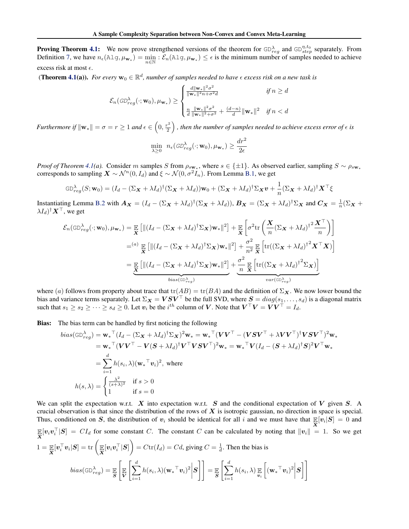**Proving Theorem [4.1:](#page-3-0)** We now prove strengthened versions of the theorem for  $GD_{reg}^{\lambda}$  and  $GD_{step}^{\eta,t_0}$  separately. From Definition [7,](#page-3-0) we have  $n_{\epsilon}(\text{Alg}, \mu_{\mathbf{w}_*}) = \min_{n \in \mathbb{N}} : \mathcal{E}_n(\text{Alg}, \mu_{\mathbf{w}_*}) \leq \epsilon$  is the minimum number of samples needed to achieve excess risk at most  $\epsilon$ .

(**Theorem [4.1\(](#page-3-0)a)).** *For every*  $\mathbf{w}_0 \in \mathbb{R}^d$ *, number of samples needed to have*  $\epsilon$  *excess risk on a new task is* 

$$
\mathcal{E}_n(\mathrm{GD}_{reg}^\lambda(\cdot; \mathbf{w}_0), \mu_{\mathbf{w}_*}) \geq \begin{cases} \frac{d\|\mathbf{w}_*\|^2 \sigma^2}{\|\mathbf{w}_*\|^2 n + \sigma^2 d} & \text{if } n \geq d \\ \\ \frac{n}{d} \frac{\|\mathbf{w}_*\|^2 \sigma^2}{\|\mathbf{w}_*\|^2 + \sigma^2} + \frac{(d-n)}{d} \|\mathbf{w}_*\|^2 & \text{if } n < d \end{cases}
$$

*Furthermore if*  $\|\mathbf{w}_*\| = \sigma = r \geq 1$  and  $\epsilon \in \left(0, \frac{r^2}{2}\right)$ ), then the number of samples needed to achieve excess error of  $\epsilon$  is

$$
\min_{\lambda \geq 0} \; n_{\epsilon}(\textit{GD}_{reg}^{\lambda}(\cdot; \mathbf{w}_0), \mu_{\mathbf{w}_*}) \geq \frac{dr^2}{2\epsilon}
$$

*Proof of Theorem [4.1\(](#page-3-0)a).* Consider *m* samples *S* from  $\rho_{s_{\mathbf{w}_*}}$ , where  $s \in \{\pm 1\}$ . As observed earlier, sampling  $S \sim \rho_{s_{\mathbf{w}_*}}$ corresponds to sampling  $\mathbf{X} \sim \mathcal{N}^n(0, I_d)$  and  $\xi \sim \mathcal{N}(0, \sigma^2 I_n)$ . From Lemma [B.1,](#page-10-0) we get

$$
GD_{reg}^{\lambda}(S; \mathbf{w}_0) = (I_d - (\Sigma_{\mathbf{X}} + \lambda I_d)^{\dagger} (\Sigma_{\mathbf{X}} + \lambda I_d)) \mathbf{w}_0 + (\Sigma_{\mathbf{X}} + \lambda I_d)^{\dagger} \Sigma_{\mathbf{X}} \mathbf{v} + \frac{1}{n} (\Sigma_{\mathbf{X}} + \lambda I_d)^{\dagger} \mathbf{X}^{\top} \xi
$$

Instantiating Lemma [B.2](#page-10-0) with  $A_X = (I_d - (\Sigma_X + \lambda I_d)^{\dagger} (\Sigma_X + \lambda I_d)), B_X = (\Sigma_X + \lambda I_d)^{\dagger} \Sigma_X$  and  $C_X = \frac{1}{n} (\Sigma_X + \lambda I_d)^{\dagger}$  $\lambda I_d$ <sup>†</sup>*X*<sup>T</sup>, we get

$$
\mathcal{E}_{n}(\text{GD}_{reg}^{\lambda}(\cdot; \mathbf{w}_{0}), \mu_{\mathbf{w}_{*}}) = \mathop{\mathbb{E}}_{\mathbf{X}} \left[ \| (I_{d} - (\Sigma_{\mathbf{X}} + \lambda I_{d})^{\dagger} \Sigma_{\mathbf{X}}) \mathbf{w}_{*} \|^{2} \right] + \mathop{\mathbb{E}}_{\mathbf{X}} \left[ \sigma^{2} \text{tr} \left( \frac{\mathbf{X}}{n} (\Sigma_{\mathbf{X}} + \lambda I_{d})^{\dagger^{2} \mathbf{X}^{\top}} n \right) \right]
$$
\n
$$
= {}^{(a)} \mathop{\mathbb{E}}_{\mathbf{X}} \left[ \| (I_{d} - (\Sigma_{\mathbf{X}} + \lambda I_{d})^{\dagger} \Sigma_{\mathbf{X}}) \mathbf{w}_{*} \|^{2} \right] + \frac{\sigma^{2}}{n^{2}} \mathop{\mathbb{E}}_{\mathbf{X}} \left[ \text{tr}((\Sigma_{\mathbf{X}} + \lambda I_{d})^{\dagger^{2} \mathbf{X}^{\top} \mathbf{X}) \right]
$$
\n
$$
= \underbrace{\mathop{\mathbb{E}}_{\mathbf{X}} \left[ \| (I_{d} - (\Sigma_{\mathbf{X}} + \lambda I_{d})^{\dagger} \Sigma_{\mathbf{X}}) \mathbf{w}_{*} \|^{2} \right] + \underbrace{\frac{\sigma^{2}}{n} \mathop{\mathbb{E}}_{\mathbf{X}} \left[ \text{tr}((\Sigma_{\mathbf{X}} + \lambda I_{d})^{\dagger^{2} \Sigma_{\mathbf{X}}}) \right]}_{\text{var}(\text{GD}_{reg}^{\lambda})}
$$

where (*a*) follows from property about trace that  $tr(AB) = tr(BA)$  and the definition of  $\Sigma_X$ . We now lower bound the bias and variance terms separately. Let  $\Sigma_X = VSV^\top$  be the full SVD, where  $S = diag(s_1, \ldots, s_d)$  is a diagonal matrix such that  $s_1 \geq s_2 \geq \cdots \geq s_d \geq 0$ . Let  $v_i$  be the  $i^{th}$  column of *V*. Note that  $V^{\top}V = VV^{\top} = I_d$ .

Bias: The bias term can be handled by first noticing the following

$$
bias(\text{GD}_{reg}^{\lambda}) = \mathbf{w}_{*}^{\top} (I_{d} - (\Sigma_{\mathbf{X}} + \lambda I_{d})^{\dagger} \Sigma_{\mathbf{X}})^{2} \mathbf{w}_{*} = \mathbf{w}_{*}^{\top} (\mathbf{V} \mathbf{V}^{\top} - (\mathbf{V} \mathbf{S} \mathbf{V}^{\top} + \lambda \mathbf{V} \mathbf{V}^{\top})^{\dagger} \mathbf{V} \mathbf{S} \mathbf{V}^{\top})^{2} \mathbf{w}_{*}
$$
\n
$$
= \mathbf{w}_{*}^{\top} (\mathbf{V} \mathbf{V}^{\top} - \mathbf{V} (\mathbf{S} + \lambda I_{d})^{\dagger} \mathbf{V}^{\top} \mathbf{V} \mathbf{S} \mathbf{V}^{\top})^{2} \mathbf{w}_{*} = \mathbf{w}_{*}^{\top} \mathbf{V} (I_{d} - (\mathbf{S} + \lambda I_{d})^{\dagger} \mathbf{S})^{2} \mathbf{V}^{\top} \mathbf{w}_{*}
$$
\n
$$
= \sum_{i=1}^{d} h(s_{i}, \lambda) (\mathbf{w}_{*}^{\top} \mathbf{v}_{i})^{2}, \text{ where}
$$
\n
$$
h(s, \lambda) = \begin{cases} \frac{\lambda^{2}}{(s + \lambda)^{2}} & \text{if } s > 0 \\ 1 & \text{if } s = 0 \end{cases}
$$

We can split the expectation w.r.t. *X* into expectation w.r.t. *S* and the conditional expectation of *V* given *S*. A crucial observation is that since the distribution of the rows of *X* is isotropic gaussian, no direction in space is special. Thus, conditioned on *S*, the distribution of  $v_i$  should be identical for all *i* and we must have that  $\mathbb{E}[v_i|S] = 0$  and *X*  $\mathbb{E}[v_i v_i^{\dagger} | S] = CI_d$  for some constant *C*. The constant *C* can be calculated by noting that  $||v_i|| = 1$ . So we get  $1 = \frac{\mathop{\mathbb{E}}}{\mathbf{X}}[\boldsymbol{v}_i^\top \boldsymbol{v}_i | \boldsymbol{S}] = \text{tr} \left( \frac{\mathop{\mathbb{E}}}{\mathbf{X}}[\boldsymbol{v}_i \boldsymbol{v}_i^\top | \boldsymbol{S}] \right)$  $\left( \int_{0}^{\infty} \int_{0}^{\infty} f(t) dt \right) = C d$ , giving  $C = \frac{1}{d}$ . Then the bias is

$$
bias(\text{GD}_{reg}^{\lambda}) = \mathop{\mathbb{E}}_{\mathbf{S}}\left[\mathop{\mathbb{E}}_{\mathbf{V}}\left[\sum_{i=1}^{d}h(s_i,\lambda)(\mathbf{w}_*\mathbf{w}_i)^2\bigg|\mathbf{S}\right]\right] = \mathop{\mathbb{E}}_{\mathbf{S}}\left[\sum_{i=1}^{d}h(s_i,\lambda)\mathop{\mathbb{E}}_{\mathbf{v}_i}\left[(\mathbf{w}_*\mathbf{w}_i)^2\bigg|\mathbf{S}\right]\right]
$$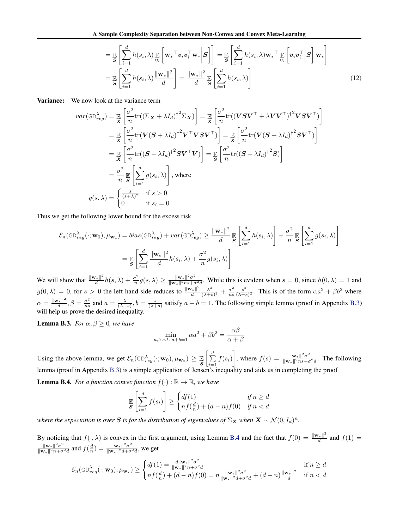$$
= \mathbb{E}_{\mathcal{S}}\left[\sum_{i=1}^{d} h(s_i, \lambda) \mathbb{E}_{\mathbf{v}_i} \left[\mathbf{w}_*^{\top} \mathbf{v}_i \mathbf{v}_i^{\top} \mathbf{w}_* \Big| \mathbf{S} \right] \right] = \mathbb{E}_{\mathcal{S}}\left[\sum_{i=1}^{d} h(s_i, \lambda) \mathbf{w}_*^{\top} \mathbb{E}_{\mathbf{v}_i} \left[\mathbf{v}_i \mathbf{v}_i^{\top} \Big| \mathbf{S} \right] \mathbf{w}_* \right]
$$

$$
= \mathbb{E}_{\mathcal{S}}\left[\sum_{i=1}^{d} h(s_i, \lambda) \frac{\|\mathbf{w}_*\|^2}{d} \right] = \frac{\|\mathbf{w}_*\|^2}{d} \mathbb{E}_{\mathcal{S}}\left[\sum_{i=1}^{d} h(s_i, \lambda) \right]
$$
(12)

**Variance:** We now look at the variance term

$$
var(\text{GD}_{reg}^{\lambda}) = \mathbb{E}\left[\frac{\sigma^2}{n} \text{tr}((\Sigma_{\mathbf{X}} + \lambda I_d)^{\dagger 2} \Sigma_{\mathbf{X}})\right] = \mathbb{E}\left[\frac{\sigma^2}{n} \text{tr}((\mathbf{V}\mathbf{S}\mathbf{V}^{\top} + \lambda \mathbf{V}\mathbf{V}^{\top})^{\dagger 2} \mathbf{V}\mathbf{S}\mathbf{V}^{\top})\right]
$$
  
\n
$$
= \mathbb{E}\left[\frac{\sigma^2}{n} \text{tr}(\mathbf{V}(\mathbf{S} + \lambda I_d)^{\dagger 2} \mathbf{V}^{\top} \mathbf{V}\mathbf{S}\mathbf{V}^{\top})\right] = \mathbb{E}\left[\frac{\sigma^2}{n} \text{tr}(\mathbf{V}(\mathbf{S} + \lambda I_d)^{\dagger 2} \mathbf{S}\mathbf{V}^{\top})\right]
$$
  
\n
$$
= \mathbb{E}\left[\frac{\sigma^2}{n} \text{tr}((\mathbf{S} + \lambda I_d)^{\dagger 2} \mathbf{S}\mathbf{V}^{\top}\mathbf{V})\right] = \mathbb{E}\left[\frac{\sigma^2}{n} \text{tr}((\mathbf{S} + \lambda I_d)^{\dagger 2} \mathbf{S})\right]
$$
  
\n
$$
= \frac{\sigma^2}{n} \mathbb{E}\left[\sum_{i=1}^d g(s_i, \lambda)\right], \text{ where}
$$
  
\n
$$
g(s, \lambda) = \begin{cases} \frac{s}{(s+\lambda)^2} & \text{if } s > 0 \\ 0 & \text{if } s_i = 0 \end{cases}
$$

Thus we get the following lower bound for the excess risk

$$
\mathcal{E}_n(\text{GD}_{reg}^{\lambda}(\cdot; \mathbf{w}_0), \mu_{\mathbf{w}_*}) = bias(\text{GD}_{reg}^{\lambda}) + var(\text{GD}_{reg}^{\lambda}) \ge \frac{\|\mathbf{w}_*\|^2}{d} \mathbb{E}\left[\sum_{i=1}^d h(s_i, \lambda)\right] + \frac{\sigma^2}{n} \mathbb{E}\left[\sum_{i=1}^d g(s_i, \lambda)\right]
$$

$$
= \mathbb{E}\left[\sum_{i=1}^d \frac{\|\mathbf{w}_*\|^2}{d} h(s_i, \lambda) + \frac{\sigma^2}{n} g(s_i, \lambda)\right]
$$

We will show that  $\frac{\|\mathbf{w}_*\|^2}{d}h(s,\lambda) + \frac{\sigma^2}{n}g(s,\lambda) \ge \frac{\|\mathbf{w}_*\|^2 \sigma^2}{\|\mathbf{w}_*\|^2 n s + \sigma^2 d}$ . While this is evident when  $s = 0$ , since  $h(0,\lambda) = 1$  and  $g(0, \lambda) = 0$ , for  $s > 0$  the left hand side reduces to  $\frac{\|\mathbf{w}_*\|^2}{d} \frac{\lambda^2}{(\lambda + s)^2} + \frac{\sigma^2}{ns} \frac{s^2}{(\lambda + s)^2}$ . This is of the form  $\alpha a^2 + \beta b^2$  where  $\alpha = \frac{\|\mathbf{w}_*\|^2}{d}, \beta = \frac{\sigma^2}{ns}$  and  $a = \frac{\lambda}{(\lambda+s)}, b = \frac{s}{(\lambda+s)}$  satisfy  $a + b = 1$ . The following simple lemma (proof in Appendix [B.3\)](#page-16-0) will help us prove the desired inequality.

**Lemma B.3.** *For*  $\alpha, \beta \geq 0$ *, we have* 

$$
\min_{a,b \ s.t. \ a+b=1} \alpha a^2 + \beta b^2 = \frac{\alpha \beta}{\alpha + \beta}
$$

Using the above lemma, we get  $\mathcal{E}_n(\text{GD}_{reg}^{\lambda}(\cdot; \mathbf{w}_0), \mu_{\mathbf{w}_*}) \geq \frac{\mathbb{E}}{S}$  $\left[\frac{d}{\sum}\right]$  $\sum_{i=1}$   $f(s_i)$ where  $f(s) = \frac{\|\mathbf{w}_*\|^2 \sigma^2}{\|\mathbf{w}_*\|^2 n s + \sigma^2 d}$ . The following lemma (proof in Appendix [B.3\)](#page-16-0) is a simple application of Jensen's inequality and aids us in completing the proof **Lemma B.4.** *For a function convex function*  $f(.) \cdot \mathbb{R} \rightarrow \mathbb{R}$ 

**erman B.4.** For a function convex function 
$$
J(\cdot): \mathbb{R} \to \mathbb{R}
$$
, we have

$$
\mathbb{E}\left[\sum_{i=1}^d f(s_i)\right] \ge \begin{cases} df(1) & \text{if } n \ge d \\ nf(\frac{d}{n}) + (d-n)f(0) & \text{if } n < d \end{cases}
$$

*where the expectation is over S is for the distribution of eigenvalues of*  $\Sigma_X$  *when*  $X \sim \mathcal{N}(0, I_d)^n$ *.* 

By noticing that  $f(\cdot, \lambda)$  is convex in the first argument, using Lemma [B.4](#page-12-0) and the fact that  $f(0) = \frac{\|\mathbf{w}_*\|^2}{d}$  and  $f(1) =$  $\frac{\|\mathbf{w}_*\|^2 \sigma^2}{\|\mathbf{w}_*\|^2 n + \sigma^2 d}$  and  $f(\frac{d}{n}) = \frac{\|\mathbf{w}_*\|^2 \sigma^2}{\|\mathbf{w}_*\|^2 d + \sigma^2 d}$ , we get

$$
\mathcal{E}_n(\text{GD}_{reg}^{\lambda}(\cdot; \mathbf{w}_0), \mu_{\mathbf{w}_*}) \ge \begin{cases} df(1) = \frac{d \|\mathbf{w}_*\|^2 \sigma^2}{\|\mathbf{w}_*\|^2 n + \sigma^2 d} & \text{if } n \ge d \\ nf(\frac{d}{n}) + (d-n)f(0) = n \frac{\|\mathbf{w}_*\|^2 \sigma^2}{\|\mathbf{w}_*\|^2 d + \sigma^2 d} + (d-n) \frac{\|\mathbf{w}_*\|^2}{d} & \text{if } n < d \end{cases}
$$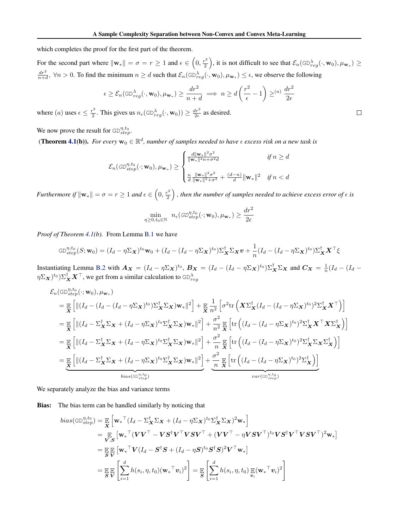<span id="page-3-0"></span>which completes the proof for the first part of the theorem.

For the second part where  $\|\mathbf{w}_*\| = \sigma = r \ge 1$  and  $\epsilon \in \left(0, \frac{r^2}{2}\right)$ ), it is not difficult to see that  $\mathcal{E}_n(\text{GD}_{reg}^{\lambda}(\cdot, \mathbf{w}_0), \mu_{\mathbf{w}_*}) \geq$  $\frac{dr^2}{dt^2}$ ,  $\forall n > 0$ . To find the minimum  $n \geq d$  such that  $\mathcal{E}_n(\text{GD}_{reg}^{\lambda}(\cdot, \mathbf{w}_0), \mu_{\mathbf{w}_*}) \leq \epsilon$ , we observe the following

$$
\epsilon \geq \mathcal{E}_n(\text{GD}_{reg}^{\lambda}(\cdot, \mathbf{w}_0), \mu_{\mathbf{w}_*}) \geq \frac{dr^2}{n+d} \implies n \geq d\left(\frac{r^2}{\epsilon} - 1\right) \geq^{(a)} \frac{dr^2}{2\epsilon}
$$

where (*a*) uses  $\epsilon \le \frac{r^2}{2}$ . This gives us  $n_{\epsilon}(\text{GD}_{reg}^{\lambda}(\cdot, \mathbf{w}_0)) \ge \frac{dr^2}{2\epsilon}$  as desired.

We now prove the result for  $GD^{n,t_0}_{step}$ .

(**Theorem 4.1(b)).** *For every*  $\mathbf{w}_0 \in \mathbb{R}^d$ *, number of samples needed to have*  $\epsilon$  *excess risk on a new task is* 

$$
\mathcal{E}_n(\mathit{GD}_{step}^{\eta,t_0}(\cdot; \mathbf{w}_0), \mu_{\mathbf{w}_*}) \geq \begin{cases} \frac{d\|\mathbf{w}_*\|^2 \sigma^2}{\|\mathbf{w}_*\|^2 n + \sigma^2 d} & \text{if } n \geq d \\ \\ \frac{n}{d} \frac{\|\mathbf{w}_*\|^2 \sigma^2}{\|\mathbf{w}_*\|^2 + \sigma^2} + \frac{(d-n)}{d} \|\mathbf{w}_*\|^2 & \text{if } n < d \end{cases}
$$

*Furthermore if*  $\|\mathbf{w}_*\| = \sigma = r \geq 1$  and  $\epsilon \in \left(0, \frac{r^2}{2}\right)$ ), then the number of samples needed to achieve excess error of  $\epsilon$  is

$$
\min_{\eta \ge 0, t_0 \in \mathbb{N}} \quad n_{\epsilon}(\mathcal{GD}_{step}^{\eta, t_0}(\cdot; \mathbf{w}_0), \mu_{\mathbf{w}_*}) \ge \frac{dr^2}{2\epsilon}
$$

*Proof of Theorem 4.1(b).* From Lemma [B.1](#page-10-0) we have

$$
GD_{step}^{\eta,t_0}(S; \mathbf{w}_0) = (I_d - \eta \Sigma_{\mathbf{X}})^{t_0} \mathbf{w}_0 + (I_d - (I_d - \eta \Sigma_{\mathbf{X}})^{t_0}) \Sigma_{\mathbf{X}}^{\dagger} \Sigma_{\mathbf{X}} \mathbf{v} + \frac{1}{n} (I_d - (I_d - \eta \Sigma_{\mathbf{X}})^{t_0}) \Sigma_{\mathbf{X}}^{\dagger} {\mathbf{X}}^{\top} \xi
$$

Instantiating Lemma [B.2](#page-10-0) with  $A_X = (I_d - \eta \Sigma_X)^{t_0}$ ,  $B_X = (I_d - (I_d - \eta \Sigma_X)^{t_0}) \Sigma_X^{\dagger} \Sigma_X$  and  $C_X = \frac{1}{n} (I_d - (I_d - \eta \Sigma_X)^{t_0})$  $(\eta \Sigma_{\bm{X}})^{t_0}) \Sigma^\dagger_{\bm{X}} \bm{X}^\top,$  we get from a similar calculation to  $\mathsf{GD}^\lambda_{reg}$ 

$$
\mathcal{E}_{n}(\text{GD}_{step}^{\eta, t_{0}}(\cdot; \mathbf{w}_{0}), \mu_{\mathbf{w}_{*}})
$$
\n
$$
= \mathbb{E}\left[\left\|\left(I_{d} - (I_{d} - (I_{d} - \eta \Sigma_{\mathbf{X}})^{t_{0}})\Sigma_{\mathbf{X}}^{\dagger}\Sigma_{\mathbf{X}}\right)\mathbf{w}_{*}\right\|^{2}\right] + \mathbb{E}\frac{1}{\mathbf{X}}\frac{1}{n^{2}}\left[\sigma^{2}\text{tr}\left(\mathbf{X}\Sigma_{\mathbf{X}}^{\dagger}(I_{d} - (I_{d} - \eta \Sigma_{\mathbf{X}})^{t_{0}})^{2}\Sigma_{\mathbf{X}}^{\dagger}\mathbf{X}^{\top}\right)\right]
$$
\n
$$
= \mathbb{E}\left[\left\|\left(I_{d} - \Sigma_{\mathbf{X}}^{\dagger}\Sigma_{\mathbf{X}} + (I_{d} - \eta \Sigma_{\mathbf{X}})^{t_{0}}\Sigma_{\mathbf{X}}^{\dagger}\Sigma_{\mathbf{X}}\right)\mathbf{w}_{*}\right\|^{2}\right] + \frac{\sigma^{2}}{n^{2}}\mathbb{E}\left[\text{tr}\left((I_{d} - (I_{d} - \eta \Sigma_{\mathbf{X}})^{t_{0}})^{2}\Sigma_{\mathbf{X}}^{\dagger}\mathbf{X}^{\top}\mathbf{X}\Sigma_{\mathbf{X}}^{\dagger}\right)\right]
$$
\n
$$
= \mathbb{E}\left[\left\|\left(I_{d} - \Sigma_{\mathbf{X}}^{\dagger}\Sigma_{\mathbf{X}} + (I_{d} - \eta \Sigma_{\mathbf{X}})^{t_{0}}\Sigma_{\mathbf{X}}^{\dagger}\Sigma_{\mathbf{X}}\right)\mathbf{w}_{*}\right\|^{2}\right] + \frac{\sigma^{2}}{n}\mathbb{E}\left[\text{tr}\left((I_{d} - (I_{d} - \eta \Sigma_{\mathbf{X}})^{t_{0}})^{2}\Sigma_{\mathbf{X}}^{\dagger}\Sigma_{\mathbf{X}}\Sigma_{\mathbf{X}}^{\dagger}\right)\right]
$$
\n
$$
= \mathbb{E}\left[\left\|\left(I_{d} - \Sigma_{\mathbf{X}}^{\dagger}\Sigma_{\mathbf{X}} + (I_{d} - \eta \Sigma_{\mathbf{X}})^{t_{0}}\Sigma_{\mathbf
$$

We separately analyze the bias and variance terms

Bias: The bias term can be handled similarly by noticing that

$$
bias(\text{GD}_{step}^{\eta, t_0}) = \mathbb{E}_{\mathbf{X}} \left[ \mathbf{w}_*^{\top} (I_d - \Sigma_{\mathbf{X}}^{\dagger} \Sigma_{\mathbf{X}} + (I_d - \eta \Sigma_{\mathbf{X}})^{t_0} \Sigma_{\mathbf{X}}^{\dagger} \Sigma_{\mathbf{X}})^2 \mathbf{w}_* \right]
$$
  
\n
$$
= \mathbb{E}_{\mathbf{V}, \mathbf{S}} \left[ \mathbf{w}_*^{\top} (\mathbf{V} \mathbf{V}^{\top} - \mathbf{V} \mathbf{S}^{\dagger} \mathbf{V}^{\top} \mathbf{V} \mathbf{S} \mathbf{V}^{\top} + (\mathbf{V} \mathbf{V}^{\top} - \eta \mathbf{V} \mathbf{S} \mathbf{V}^{\top})^{t_0} \mathbf{V} \mathbf{S}^{\dagger} \mathbf{V}^{\top} \mathbf{V} \mathbf{S} \mathbf{V}^{\top} \right)^2 \mathbf{w}_* \right]
$$
  
\n
$$
= \mathbb{E}_{\mathbf{S}} \mathbb{E}_{\mathbf{V}} \left[ \mathbf{w}_*^{\top} \mathbf{V} (I_d - \mathbf{S}^{\dagger} \mathbf{S} + (I_d - \eta \mathbf{S})^{t_0} \mathbf{S}^{\dagger} \mathbf{S})^2 \mathbf{V}^{\top} \mathbf{w}_* \right]
$$
  
\n
$$
= \mathbb{E}_{\mathbf{S}} \mathbb{E}_{\mathbf{V}} \left[ \sum_{i=1}^d h(s_i, \eta, t_0) (\mathbf{w}_*^{\top} \mathbf{v}_i)^2 \right] = \mathbb{E}_{\mathbf{S}} \left[ \sum_{i=1}^d h(s_i, \eta, t_0) \mathbb{E}_{\mathbf{V}} (\mathbf{w}_*^{\top} \mathbf{v}_i)^2 \right]
$$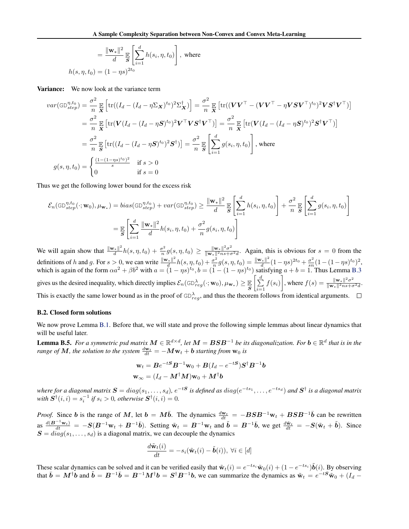<span id="page-4-0"></span>
$$
= \frac{\|\mathbf{w}_*\|^2}{d} \mathop{\mathbb{E}}_{\mathbf{S}} \left[ \sum_{i=1}^d h(s_i, \eta, t_0) \right], \text{ where}
$$
  

$$
h(s, \eta, t_0) = (1 - \eta s)^{2t_0}
$$

Variance: We now look at the variance term

$$
var(\text{GD}_{step}^{\eta, t_0}) = \frac{\sigma^2}{n} \mathbb{E} \left[ \text{tr}((I_d - (I_d - \eta \Sigma \mathbf{x})^{t_0})^2 \Sigma \mathbf{x}^{\dagger}) \right] = \frac{\sigma^2}{n} \mathbb{E} \left[ \text{tr}((\mathbf{V}\mathbf{V}^{\top} - (\mathbf{V}\mathbf{V}^{\top} - \eta \mathbf{V}\mathbf{S}\mathbf{V}^{\top})^{t_0})^2 \mathbf{V}\mathbf{S}^{\dagger}\mathbf{V}^{\top}) \right]
$$
  
\n
$$
= \frac{\sigma^2}{n} \mathbb{E} \left[ \text{tr}(\mathbf{V}(I_d - (I_d - \eta \mathbf{S})^{t_0})^2 \mathbf{V}^{\top} \mathbf{V}\mathbf{S}^{\dagger}\mathbf{V}^{\top}) \right] = \frac{\sigma^2}{n} \mathbb{E} \left[ \text{tr}(\mathbf{V}(I_d - (I_d - \eta \mathbf{S})^{t_0})^2 \mathbf{S}^{\dagger}\mathbf{V}^{\top}) \right]
$$
  
\n
$$
= \frac{\sigma^2}{n} \mathbb{E} \left[ \text{tr}((I_d - (I_d - \eta \mathbf{S})^{t_0})^2 \mathbf{S}^{\dagger}) \right] = \frac{\sigma^2}{n} \mathbb{E} \left[ \sum_{i=1}^d g(s_i, \eta, t_0) \right], \text{ where}
$$
  
\n
$$
g(s, \eta, t_0) = \begin{cases} \frac{(1 - (1 - \eta s)^{t_0})^2}{s} & \text{if } s > 0 \\ 0 & \text{if } s = 0 \end{cases}
$$

Thus we get the following lower bound for the excess risk

$$
\mathcal{E}_n(\text{GD}_{step}^{\eta, t_0}(\cdot; \mathbf{w}_0), \mu_{\mathbf{w}_*}) = bias(\text{GD}_{step}^{\eta, t_0}) + var(\text{GD}_{step}^{\eta, t_0}) \ge \frac{\|\mathbf{w}_*\|^2}{d} \mathbb{E}\left[\sum_{i=1}^d h(s_i, \eta, t_0)\right] + \frac{\sigma^2}{n} \mathbb{E}\left[\sum_{i=1}^d g(s_i, \eta, t_0)\right]
$$

$$
= \mathbb{E}\left[\sum_{i=1}^d \frac{\|\mathbf{w}_*\|^2}{d}h(s_i, \eta, t_0) + \frac{\sigma^2}{n}g(s_i, \eta, t_0)\right]
$$

We will again show that  $\frac{\|w_*\|^2}{d}h(s, \eta, t_0) + \frac{\sigma^2}{n}g(s, \eta, t_0) \ge \frac{\|w_*\|^2 \sigma^2}{\|w_*\|^2 n s + \sigma^2 d}$ . Again, this is obvious for  $s = 0$  from the definitions of h and g. For  $s > 0$ , we can write  $\frac{\|\mathbf{w}_*\|^2}{d} h(s, \eta, t_0) + \frac{\sigma^2}{n} g(s, \eta, t_0) = \frac{\|\mathbf{w}_*\|^2}{d} (1 - \eta s)^{2t_0} + \frac{\sigma^2}{sn} (1 - (1 - \eta s)^{t_0})^2$ , which is again of the form  $\alpha a^2 + \beta b^2$  with  $a = (1 - \eta s)^{t_0}, b = (1 - (1 - \eta s)^{t_0})$  satisfying  $a + b = 1$ . Thus Lemma [B.3](#page-12-0) gives us the desired inequality, which directly implies  $\mathcal{E}_n(\text{GD}_{reg}^{\lambda}(\cdot; \mathbf{w}_0), \mu_{\mathbf{w}_*}) \geq \frac{\mathbb{E}[S]}{S}$  $\left[\frac{d}{\sum}\right]$  $\sum_{i=1}$   $f(s_i)$ where  $f(s) = \frac{\|\mathbf{w}_*\|^2 \sigma^2}{\|\mathbf{w}_*\|^2 n s + \sigma^2 d}$ . This is exactly the same lower bound as in the proof of  $GD_{reg}^{\lambda}$ , and thus the theorem follows from identical arguments.

#### B.2. Closed form solutions

We now prove Lemma [B.1.](#page-10-0) Before that, we will state and prove the following simple lemmas about linear dynamics that will be useful later.

**Lemma B.5.** For a symmetric psd matrix  $M \in \mathbb{R}^{d \times d}$ , let  $M = BSB^{-1}$  be its diagonalization. For  $b \in \mathbb{R}^d$  that is in the *range of*  $M$ *, the solution to the system*  $\frac{d\mathbf{w}_t}{dt} = -M\mathbf{w}_t + \mathbf{b}$  *starting from*  $\mathbf{w}_0$  *is* 

$$
\mathbf{w}_t = \mathbf{B}e^{-t\mathbf{S}}\mathbf{B}^{-1}\mathbf{w}_0 + \mathbf{B}(I_d - e^{-t\mathbf{S}})\mathbf{S}^{\dagger}\mathbf{B}^{-1}\mathbf{b}
$$

$$
\mathbf{w}_{\infty} = (I_d - \mathbf{M}^{\dagger}\mathbf{M})\mathbf{w}_0 + \mathbf{M}^{\dagger}\mathbf{b}
$$

where for a diagonal matrix  $S = diag(s_1, ..., s_d)$ ,  $e^{-tS}$  is defined as  $diag(e^{-ts_1}, ..., e^{-ts_d})$  and  $S^{\dagger}$  is a diagonal matrix *with*  $S^{\dagger}(i, i) = s_i^{-1}$  *if*  $s_i > 0$ *, otherwise*  $S^{\dagger}(i, i) = 0$ *.* 

*Proof.* Since *b* is the range of *M*, let  $b = M\bar{b}$ . The dynamics  $\frac{dw_t}{dt} = -BSB^{-1}w_t + BSB^{-1}\bar{b}$  can be rewritten as  $\frac{d(\mathbf{B}^{-1}\mathbf{w}_t)}{dt} = -S(\mathbf{B}^{-1}\mathbf{w}_t + \mathbf{B}^{-1}\bar{\mathbf{b}})$ . Setting  $\tilde{\mathbf{w}}_t = \mathbf{B}^{-1}\mathbf{w}_t$  and  $\tilde{\mathbf{b}} = \mathbf{B}^{-1}\bar{\mathbf{b}}$ , we get  $\frac{d\tilde{\mathbf{w}}_t}{dt} = -S(\tilde{\mathbf{w}}_t + \tilde{\mathbf{b}})$ . Since  $S = diag(s_1, \ldots, s_d)$  is a diagonal matrix, we can decouple the dynamics

$$
\frac{d\tilde{\mathbf{w}}_t(i)}{dt} = -s_i(\tilde{\mathbf{w}}_t(i) - \tilde{\boldsymbol{b}}(i)), \ \forall i \in [d]
$$

These scalar dynamics can be solved and it can be verified easily that  $\tilde{\mathbf{w}}_t(i) = e^{-ts_i}\tilde{\mathbf{w}}_0(i) + (1 - e^{-ts_i})\tilde{\mathbf{b}}(i)$ . By observing that  $\bar{b} = M^{\dagger}b$  and  $\tilde{b} = B^{-1}\bar{b} = B^{-1}M^{\dagger}b = S^{\dagger}B^{-1}b$ , we can summarize the dynamics as  $\tilde{w}_t = e^{-tS}\tilde{w}_0 + (I_d - I_d)^{-1}b$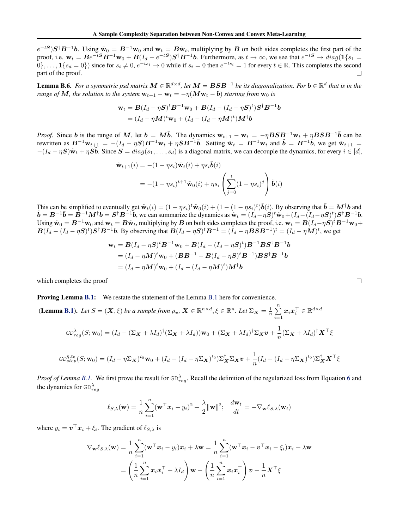<span id="page-5-0"></span> $e^{-tS}$ ) $S^{\dagger}B^{-1}b$ . Using  $\tilde{w}_0 = B^{-1}w_0$  and  $w_t = B\tilde{w}_t$ , multiplying by *B* on both sides completes the first part of the proof, i.e.  $\mathbf{w}_t = Be^{-tS}B^{-1}\mathbf{w}_0 + B(I_d - e^{-tS})S^{\dagger}B^{-1}b$ . Furthermore, as  $t \to \infty$ , we see that  $e^{-tS} \to diag(1\{s_1 =$  $0\}$ ,...,  $\mathbf{1}\{s_d = 0\}$  since for  $s_i \neq 0$ ,  $e^{-ts_i} \to 0$  while if  $s_i = 0$  then  $e^{-ts_i} = 1$  for every  $t \in \mathbb{R}$ . This completes the second part of the proof. part of the proof.

**Lemma B.6.** For a symmetric psd matrix  $M \in \mathbb{R}^{d \times d}$ , let  $M = BSB^{-1}$  be its diagonalization. For  $b \in \mathbb{R}^d$  that is in the *range of*  $M$ *, the solution to the system*  $w_{t+1} - w_t = -\eta(Mw_t - b)$  *starting from*  $w_0$  *is* 

$$
\mathbf{w}_t = \mathbf{B}(I_d - \eta \mathbf{S})^t \mathbf{B}^{-1} \mathbf{w}_0 + \mathbf{B}(I_d - (I_d - \eta \mathbf{S})^t) \mathbf{S}^\dagger \mathbf{B}^{-1} \mathbf{b}
$$
  
=  $(I_d - \eta \mathbf{M})^t \mathbf{w}_0 + (I_d - (I_d - \eta \mathbf{M})^t) \mathbf{M}^\dagger \mathbf{b}$ 

*Proof.* Since *b* is the range of *M*, let  $b = M\bar{b}$ . The dynamics  $w_{t+1} - w_t = -\eta BSB^{-1}w_t + \eta BSB^{-1}\bar{b}$  can be rewritten as  $B^{-1}\mathbf{w}_{t+1} = -(I_d - \eta S)B^{-1}\mathbf{w}_t + \eta SB^{-1}\bar{b}$ . Setting  $\tilde{\mathbf{w}}_t = B^{-1}\mathbf{w}_t$  and  $\tilde{b} = B^{-1}\bar{b}$ , we get  $\tilde{\mathbf{w}}_{t+1} =$  $-(I_d - \eta S)\tilde{w}_t + \eta S\tilde{b}$ . Since  $S = diag(s_1, \ldots, s_d)$  is a diagonal matrix, we can decouple the dynamics, for every  $i \in [d]$ ,

$$
\tilde{\mathbf{w}}_{t+1}(i) = -(1 - \eta s_i) \tilde{\mathbf{w}}_t(i) + \eta s_i \tilde{\mathbf{b}}(i)
$$
\n
$$
= -(1 - \eta s_i)^{t+1} \tilde{\mathbf{w}}_0(i) + \eta s_i \left( \sum_{j=0}^t (1 - \eta s_i)^j \right) \tilde{\mathbf{b}}(i)
$$

This can be simplified to eventually get  $\tilde{\mathbf{w}}_t(i) = (1 - \eta s_i)^t \tilde{\mathbf{w}}_0(i) + (1 - (1 - \eta s_i)^t) \tilde{\mathbf{b}}(i)$ . By observing that  $\bar{\mathbf{b}}$ This can be simplified to eventually get  $\tilde{\mathbf{w}}_t(i) = (1 - \eta s_i)^t \tilde{\mathbf{w}}_0(i) + (1 - (1 - \eta s_i)^t) \mathbf{b}(i)$ . By observing that  $\mathbf{b} = \mathbf{M}^\dagger \mathbf{b}$  and  $\tilde{\mathbf{b}} = \mathbf{B}^{-1} \bar{\mathbf{b}} = \mathbf{B}^{-1} \mathbf{M}^\dagger \mathbf{b} = \mathbf{S}^\dagger \mathbf{B}^{-1$ Using  $\tilde{\mathbf{w}}_0 = \mathbf{B}^{-1}\mathbf{w}_0$  and  $\mathbf{w}_t = \mathbf{B}\tilde{\mathbf{w}}_t$ , multiplying by  $\mathbf{B}$  on both sides completes the proof, i.e.  $\mathbf{w}_t = \mathbf{B}(I_d - \eta \mathbf{S})^t \mathbf{B}^{-1}\mathbf{w}_0 +$  $B(I_d-(I_d-\eta S)^t)S^{\dagger}B^{-1}b$ . By observing that  $B(I_d-\eta S)^tB^{-1}=(I_d-\eta BSB^{-1})^t=(I_d-\eta M)^t$ , we get

$$
\mathbf{w}_t = \mathbf{B}(I_d - \eta \mathbf{S})^t \mathbf{B}^{-1} \mathbf{w}_0 + \mathbf{B}(I_d - (I_d - \eta \mathbf{S})^t) \mathbf{B}^{-1} \mathbf{B} \mathbf{S}^\dagger \mathbf{B}^{-1} \mathbf{b}
$$
  
=  $(I_d - \eta \mathbf{M})^t \mathbf{w}_0 + (\mathbf{B} \mathbf{B}^{-1} - \mathbf{B}(I_d - \eta \mathbf{S})^t \mathbf{B}^{-1}) \mathbf{B} \mathbf{S}^\dagger \mathbf{B}^{-1} \mathbf{b}$   
=  $(I_d - \eta \mathbf{M})^t \mathbf{w}_0 + (I_d - (I_d - \eta \mathbf{M})^t) \mathbf{M}^\dagger \mathbf{b}$ 

which completes the proof

#### Proving Lemma [B.1:](#page-10-0) We restate the statement of the Lemma [B.1](#page-10-0) here for convenience.

(Lemma [B.1\)](#page-10-0). Let  $S = (\mathbf{X}, \xi)$  be a sample from  $\rho_v$ ,  $\mathbf{X} \in \mathbb{R}^{n \times d}, \xi \in \mathbb{R}^n$ . Let  $\Sigma_{\mathbf{X}} = \frac{1}{n} \sum_{i=1}^n \mathbf{X}^{(i)}$  $\sum\limits_{i=1}^{\mathbf{\sum}}\boldsymbol{x}_i\boldsymbol{x}_i^{\top} \in \mathbb{R}^{d \times d}$ 

$$
GD_{reg}^{\lambda}(S; \mathbf{w}_0) = (I_d - (\Sigma_{\mathbf{X}} + \lambda I_d)^{\dagger} (\Sigma_{\mathbf{X}} + \lambda I_d)) \mathbf{w}_0 + (\Sigma_{\mathbf{X}} + \lambda I_d)^{\dagger} \Sigma_{\mathbf{X}} \mathbf{v} + \frac{1}{n} (\Sigma_{\mathbf{X}} + \lambda I_d)^{\dagger} \mathbf{X}^{\top} \xi
$$

$$
GD_{step}^{\eta, t_0}(S; \mathbf{w}_0) = (I_d - \eta \Sigma_{\mathbf{X}})^{t_0} \mathbf{w}_0 + (I_d - (I_d - \eta \Sigma_{\mathbf{X}})^{t_0}) \Sigma_{\mathbf{X}}^{\dagger} \Sigma_{\mathbf{X}} \mathbf{v} + \frac{1}{n} (I_d - (I_d - \eta \Sigma_{\mathbf{X}})^{t_0}) \Sigma_{\mathbf{X}}^{\dagger} \mathbf{X}^{\top} \xi
$$

*Proof of Lemma [B.1.](#page-10-0)* We first prove the result for  $GD_{reg}^{\lambda}$ . Recall the definition of the regularized loss from Equation [6](#page-3-0) and the dynamics for  $GD_{reg}^{\lambda}$ 

$$
\ell_{S,\lambda}(\mathbf{w}) = \frac{1}{n} \sum_{i=1}^n (\mathbf{w}^\top \mathbf{x}_i - y_i)^2 + \frac{\lambda}{2} ||\mathbf{w}||^2; \quad \frac{d\mathbf{w}_t}{dt} = -\nabla_{\mathbf{w}} \ell_{S,\lambda}(\mathbf{w}_t)
$$

where  $y_i = v^\top x_i + \xi_i$ . The gradient of  $\ell_{S,\lambda}$  is

$$
\nabla_{\mathbf{w}} \ell_{S,\lambda}(\mathbf{w}) = \frac{1}{n} \sum_{i=1}^{n} (\mathbf{w}^{\top} \mathbf{x}_{i} - y_{i}) \mathbf{x}_{i} + \lambda \mathbf{w} = \frac{1}{n} \sum_{i=1}^{n} (\mathbf{w}^{\top} \mathbf{x}_{i} - \mathbf{v}^{\top} \mathbf{x}_{i} - \xi_{i}) \mathbf{x}_{i} + \lambda \mathbf{w}
$$

$$
= \left(\frac{1}{n} \sum_{i=1}^{n} \mathbf{x}_{i} \mathbf{x}_{i}^{\top} + \lambda I_{d}\right) \mathbf{w} - \left(\frac{1}{n} \sum_{i=1}^{n} \mathbf{x}_{i} \mathbf{x}_{i}^{\top}\right) \mathbf{v} - \frac{1}{n} \mathbf{X}^{\top} \xi
$$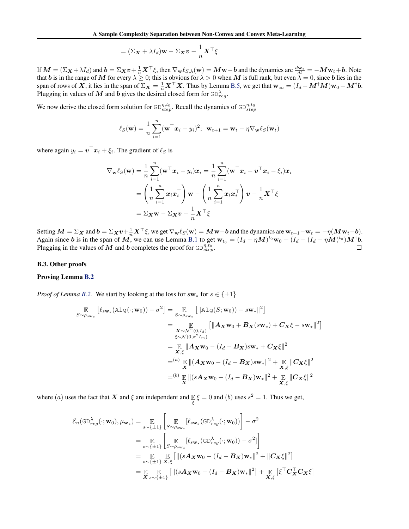$$
= (\Sigma_{\boldsymbol{X}} + \lambda I_d) \mathbf{w} - \Sigma_{\boldsymbol{X}} \boldsymbol{v} - \frac{1}{n} \boldsymbol{X}^\top \boldsymbol{\xi}
$$

<span id="page-6-0"></span>If  $M = (\Sigma_X + \lambda I_d)$  and  $b = \Sigma_X v + \frac{1}{n} X^\top \xi$ , then  $\nabla_w \ell_{S,\lambda}(w) = Mw - b$  and the dynamics are  $\frac{dw_t}{dt} = -Mw_t + b$ . Note that *b* is in the range of *M* for every  $\lambda \geq 0$ ; this is obvious for  $\lambda > 0$  when *M* is full rank, but even  $\lambda = 0$ , since *b* lies in the span of rows of X, it lies in the span of  $\Sigma_{\boldsymbol{X}} = \frac{1}{n} \boldsymbol{X}^\top \boldsymbol{X}$ . Thus by Lemma [B.5,](#page-14-0) we get that  $\mathbf{w}_{\infty} = (I_d - \boldsymbol{M}^\dagger \boldsymbol{M}) \mathbf{w}_0 + \boldsymbol{M}^\dagger \boldsymbol{b}$ . Plugging in values of M and b gives the desired closed form for  $\bigoplus_{reg}^{\lambda}$ .

We now derive the closed form solution for  $GD_{step}^{\eta,t_0}$ . Recall the dynamics of  $GD_{step}^{\eta,t_0}$ 

$$
\ell_S(\mathbf{w}) = \frac{1}{n} \sum_{i=1}^n (\mathbf{w}^\top \mathbf{x}_i - y_i)^2; \ \ \mathbf{w}_{t+1} = \mathbf{w}_t - \eta \nabla_{\mathbf{w}} \ell_S(\mathbf{w}_t)
$$

where again  $y_i = v^\top x_i + \xi_i$ . The gradient of  $\ell_S$  is

$$
\nabla_{\mathbf{w}} \ell_S(\mathbf{w}) = \frac{1}{n} \sum_{i=1}^n (\mathbf{w}^\top \mathbf{x}_i - y_i) \mathbf{x}_i = \frac{1}{n} \sum_{i=1}^n (\mathbf{w}^\top \mathbf{x}_i - \mathbf{v}^\top \mathbf{x}_i - \xi_i) \mathbf{x}_i
$$

$$
= \left(\frac{1}{n} \sum_{i=1}^n \mathbf{x}_i \mathbf{x}_i^\top\right) \mathbf{w} - \left(\frac{1}{n} \sum_{i=1}^n \mathbf{x}_i \mathbf{x}_i^\top\right) \mathbf{v} - \frac{1}{n} \mathbf{X}^\top \xi
$$

$$
= \Sigma_{\mathbf{X}} \mathbf{w} - \Sigma_{\mathbf{X}} \mathbf{v} - \frac{1}{n} \mathbf{X}^\top \xi
$$

Setting  $M = \sum_{\mathbf{X}} \mathbf{v} + \frac{1}{n} \mathbf{X}^\top \xi$ , we get  $\nabla_{\mathbf{w}} \ell_S(\mathbf{w}) = M\mathbf{w} - \mathbf{b}$  and the dynamics are  $\mathbf{w}_{t+1} - \mathbf{w}_t = -\eta (M\mathbf{w}_t - \mathbf{b})$ . Again since *b* is in the span of M, we can use Lemma [B.1](#page-10-0) to get  $w_{t_0} = (I_d - \eta M)^{t_0}w_0 + (I_d - (I_d - \eta M)^{t_0})M^{\dagger}b$ . Plugging in the values of  $M$  and  $b$  completes the proof for  $GD_{step}^{\eta, t_0}$ .

#### B.3. Other proofs

#### Proving Lemma [B.2](#page-10-0)

*Proof of Lemma [B.2.](#page-10-0)* We start by looking at the loss for  $s_{w*}$  for  $s \in \{\pm 1\}$ 

$$
\mathbb{E}_{S \sim \rho_{sw_*}} \left[ \ell_{sw_*} (\text{Alg}(\cdot; \mathbf{w}_0)) - \sigma^2 \right] = \mathbb{E}_{S \sim \rho_{sw_*}} \left[ \|\text{Alg}(S; \mathbf{w}_0)) - sw_* \|^2 \right]
$$
\n
$$
= \mathbb{E}_{\substack{\mathbf{X} \sim \mathcal{N}^n(0, I_d) \\ \xi \sim \mathcal{N}(0, \sigma^2 I_m)}} \left[ \|\mathbf{A}_{\mathbf{X}} \mathbf{w}_0 + \mathbf{B}_{\mathbf{X}}(s \mathbf{w}_*) + \mathbf{C}_{\mathbf{X}} \xi - s \mathbf{w}_* \|^2 \right]
$$
\n
$$
= \mathbb{E}_{\substack{\mathbf{X} \sim \mathcal{N}(0, \sigma^2 I_m) \\ \xi \sim \mathcal{N}(0, \sigma^2 I_m)}} \left[ \|\mathbf{A}_{\mathbf{X}} \mathbf{w}_0 - (I_d - \mathbf{B}_{\mathbf{X}}) s \mathbf{w}_* + \mathbf{C}_{\mathbf{X}} \xi \|^2 \right]
$$
\n
$$
= \frac{(a)}{\mathbf{X}} \mathbb{E} \left[ \|\mathbf{A}_{\mathbf{X}} \mathbf{w}_0 - (I_d - \mathbf{B}_{\mathbf{X}}) s \mathbf{w}_* \|^2 + \mathbb{E}_{\substack{\mathbf{X}, \xi \\ \mathbf{X}, \xi}} \|\mathbf{C}_{\mathbf{X}} \xi\|^2
$$
\n
$$
= \frac{(b)}{\mathbf{X}} \|\| (s \mathbf{A}_{\mathbf{X}} \mathbf{w}_0 - (I_d - \mathbf{B}_{\mathbf{X}}) \mathbf{w}_* \|^2 + \mathbb{E}_{\substack{\mathbf{X}, \xi \\ \mathbf{X}, \xi}} \|\mathbf{C}_{\mathbf{X}} \xi \|^2
$$

where (*a*) uses the fact that *X* and  $\xi$  are independent and  $\mathbb{E} \xi = 0$  and (*b*) uses  $s^2 = 1$ . Thus we get,  $\xi$ 

$$
\mathcal{E}_{n}(\text{GD}_{reg}^{\lambda}(\cdot; \mathbf{w}_{0}), \mu_{\mathbf{w}_{*}}) = \mathop{\mathbb{E}}_{s \sim \{\pm 1\}} \left[ \mathop{\mathbb{E}}_{S \sim \rho_{s \mathbf{w}_{*}}} [\ell_{s \mathbf{w}_{*}}(\text{GD}_{reg}^{\lambda}(\cdot; \mathbf{w}_{0}))] - \sigma^{2} \right]
$$
\n
$$
= \mathop{\mathbb{E}}_{s \sim \{\pm 1\}} \left[ \mathop{\mathbb{E}}_{S \sim \rho_{s \mathbf{w}_{*}}} [\ell_{s \mathbf{w}_{*}}(\text{GD}_{reg}^{\lambda}(\cdot; \mathbf{w}_{0})) - \sigma^{2}] \right]
$$
\n
$$
= \mathop{\mathbb{E}}_{s \sim \{\pm 1\}} \mathop{\mathbb{E}}_{\mathbf{X}, \xi} [\| (s \mathbf{A}_{X} \mathbf{w}_{0} - (I_{d} - \mathbf{B}_{X}) \mathbf{w}_{*} \|^{2} + \| \mathbf{C}_{X} \xi \|^{2}]
$$
\n
$$
= \mathop{\mathbb{E}}_{\mathbf{X}} \mathop{\mathbb{E}}_{s \sim \{\pm 1\}} [\| (s \mathbf{A}_{X} \mathbf{w}_{0} - (I_{d} - \mathbf{B}_{X}) \mathbf{w}_{*} \|^{2}] + \mathop{\mathbb{E}}_{\mathbf{X}, \xi} [\xi^{\top} \mathbf{C}_{X}^{\top} \mathbf{C}_{X} \xi]
$$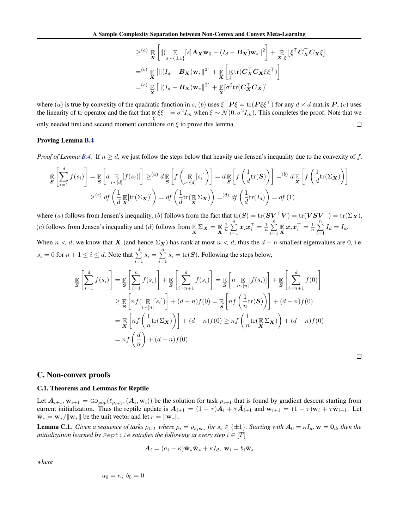$$
\geq^{(a)} \mathop{\mathbb{E}}_{\mathbf{X}} \left[ \| (\mathop{\mathbb{E}}_{s \sim \{\pm 1\}} [s] \mathbf{A}_{\mathbf{X}} \mathbf{w}_0 - (I_d - \mathbf{B}_{\mathbf{X}}) \mathbf{w}_* \|^2 \right] + \mathop{\mathbb{E}}_{\mathbf{X}, \xi} \left[ \xi^\top \mathbf{C}_{\mathbf{X}}^\top \mathbf{C}_{\mathbf{X}} \xi \right]
$$
  
\n
$$
=^{(b)} \mathop{\mathbb{E}}_{\mathbf{X}} \left[ \| (I_d - \mathbf{B}_{\mathbf{X}}) \mathbf{w}_* \|^2 \right] + \mathop{\mathbb{E}}_{\mathbf{X}} \left[ \mathop{\mathbb{E}}_{\xi} \text{tr}(\mathbf{C}_{\mathbf{X}}^\top \mathbf{C}_{\mathbf{X}} \xi \xi^\top) \right]
$$
  
\n
$$
=^{(c)} \mathop{\mathbb{E}}_{\mathbf{X}} \left[ \| (I_d - \mathbf{B}_{\mathbf{X}}) \mathbf{w}_* \|^2 \right] + \mathop{\mathbb{E}}_{\mathbf{X}} \left[ \sigma^2 \text{tr}(\mathbf{C}_{\mathbf{X}}^\top \mathbf{C}_{\mathbf{X}}) \right]
$$

<span id="page-7-0"></span>where (*a*) is true by convexity of the quadratic function in *s*, (*b*) uses  $\xi^{\perp}P\xi = \text{tr}(P\xi\xi^{\perp})$  for any  $d \times d$  matrix  $P$ , (*c*) uses the linearity of tr operator and the fact that  $\mathbb{E} \xi \xi^{\top} = \sigma^2 I_m$  when  $\xi \sim \mathcal{N}(0, \sigma^2 I_m)$ . This completes the proof. Note that we only needed first and second moment conditions on  $\xi$  to prove this lemma.  $\Box$ 

#### Proving Lemma [B.4](#page-12-0)

*Proof of Lemma [B.4.](#page-12-0)* If  $n \geq d$ , we just follow the steps below that heavily use Jensen's inequality due to the convexity of *f*.

$$
\mathbb{E}\left[\sum_{i=1}^{d} f(s_i)\right] = \mathbb{E}\left[d \mathop{\mathbb{E}}_{i \sim [d]}[f(s_i)]\right] \geq^{(a)} d \mathop{\mathbb{E}}_{\mathcal{S}}\left[f\left(\mathop{\mathbb{E}}_{i \sim [d]}[s_i]\right)\right] = d \mathop{\mathbb{E}}_{\mathcal{S}}\left[f\left(\frac{1}{d} \text{tr}(\mathcal{S})\right)\right] =^{(b)} d \mathop{\mathbb{E}}_{\mathcal{X}}\left[f\left(\frac{1}{d} \text{tr}(\Sigma_{\mathcal{X}})\right)\right]
$$

$$
\geq^{(c)} df\left(\frac{1}{d} \mathop{\mathbb{E}}_{\mathcal{X}}[\text{tr}(\Sigma_{\mathcal{X}})]\right) = df\left(\frac{1}{d} \text{tr}(\mathop{\mathbb{E}}_{\mathcal{X}} \Sigma_{\mathcal{X}})\right) =^{(d)} df\left(\frac{1}{d} \text{tr}(I_d)\right) = df(1)
$$

where (*a*) follows from Jensen's inequality, (*b*) follows from the fact that  $tr(S) = tr(SV^{\top}V) = tr(VSV^{\top}) = tr(\Sigma_X)$ , (*c*) follows from Jensen's inequality and (*d*) follows from  $\mathbb{E} \Sigma_X = \mathbb{E}$  $\frac{1}{n}$  $\sum_{n=1}^{n}$  $\sum_{i=1}^n \boldsymbol{x}_i \boldsymbol{x}_i^\top = \frac{1}{n} \sum_{i=1}^n$  $\sum_{i=1}^n \mathop{\mathbb{E}} \mathop{\boldsymbol{x}}_i \mathop{\boldsymbol{x}}_i^\top = \frac{1}{n} \sum_{i=1}^n$  $\sum_{i=1}$   $I_d = I_d$ .

When  $n < d$ , we know that *X* (and hence  $\Sigma_X$ ) has rank at most  $n < d$ , thus the  $d - n$  smallest eigenvalues are 0, i.e.  $s_i = 0$  for  $n + 1 \leq i \leq d$ . Note that  $\sum_{i=1}^d$  $\sum_{i=1}^{d} s_i = \sum_{i=1}^{n} s_i = \text{tr}(\mathbf{S})$ . Following the steps below,

$$
\mathbb{E}\left[\sum_{i=1}^{d} f(s_i)\right] = \mathbb{E}\left[\sum_{i=1}^{n} f(s_i)\right] + \mathbb{E}\left[\sum_{i=n+1}^{d} f(s_i)\right] = \mathbb{E}\left[n \mathbb{E}\left[f(s_i)\right]\right] + \mathbb{E}\left[\sum_{i=n+1}^{d} f(0)\right]
$$
\n
$$
\geq \mathbb{E}\left[nf\left(\mathbb{E}\left[s_i\right]\right)\right] + (d-n)f(0) = \mathbb{E}\left[nf\left(\frac{1}{n}\text{tr}(\mathbf{S})\right)\right] + (d-n)f(0)
$$
\n
$$
= \mathbb{E}\left[nf\left(\frac{1}{n}\text{tr}(\Sigma_{\mathbf{X}})\right)\right] + (d-n)f(0) \geq nf\left(\frac{1}{n}\text{tr}(\mathbb{E}\Sigma_{\mathbf{X}})\right) + (d-n)f(0)
$$
\n
$$
= nf\left(\frac{d}{n}\right) + (d-n)f(0)
$$

#### C. Non-convex proofs

#### C.1. Theorems and Lemmas for Reptile

Let  $\bar{A}_{i+1}, \bar{w}_{i+1} = \text{GD}_{pop}(\ell_{\rho_{i+1}}, (A_i, w_i))$  be the solution for task  $\rho_{i+1}$  that is found by gradient descent starting from current initialization. Thus the reptile update is  $A_{i+1} = (1 - \tau)A_i + \tau A_{i+1}$  and  $w_{i+1} = (1 - \tau)w_i + \tau \bar{w}_{i+1}$ . Let  $\bar{\mathbf{w}}_* = \mathbf{w}_* / ||\mathbf{w}_*||$  be the unit vector and let  $r = ||\mathbf{w}_*||$ .

**Lemma C.1.** Given a sequence of tasks  $\rho_{1:T}$  where  $\rho_i = \rho_{s_i w_*}$  for  $s_i \in \{\pm 1\}$ . Starting with  $A_0 = \kappa I_d$ ,  $w = 0_d$ , then the *initialization learned by*  $\text{Reptile}$  *satisfies the following at every step*  $i \in [T]$ 

$$
\mathbf{A}_i = (a_i - \kappa)\bar{\mathbf{w}}_*\bar{\mathbf{w}}_* + \kappa I_d, \mathbf{w}_i = b_i\bar{\mathbf{w}}_*
$$

*where*

$$
a_0=\kappa, b_0=0
$$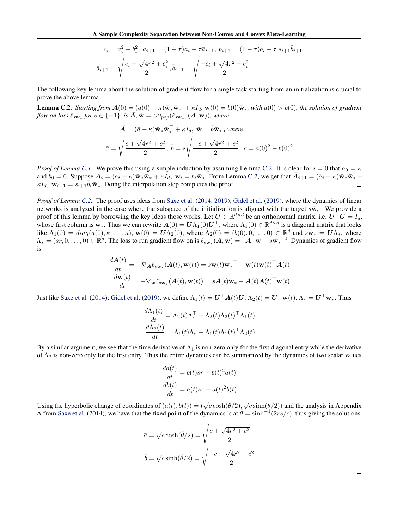$$
c_i = a_i^2 - b_i^2, \ a_{i+1} = (1 - \tau)a_i + \tau \bar{a}_{i+1}, \ b_{i+1} = (1 - \tau)b_i + \tau s_{i+1}\bar{b}_{i+1}
$$

$$
\bar{a}_{i+1} = \sqrt{\frac{c_i + \sqrt{4r^2 + c_i^2}}{2}}, \ \bar{b}_{i+1} = \sqrt{\frac{-c_i + \sqrt{4r^2 + c_i^2}}{2}}
$$

<span id="page-8-0"></span>The following key lemma about the solution of gradient flow for a single task starting from an initialization is crucial to prove the above lemma.

**Lemma C.2.** *Starting from*  $A(0) = (a(0) - \kappa)\bar{w}_* \bar{w}_*^{\dagger} + \kappa I_d$ ,  $\mathbf{w}(0) = b(0)\bar{w}_*$ , with  $a(0) > b(0)$ , the solution of gradient *flow on loss*  $\ell_{s_{\mathbf{w}_*}}$  *for*  $s \in \{\pm 1\}$ *, is*  $\overline{A}$ *,*  $\overline{\mathbf{w}} = \text{GD}_{pop}(\ell_{s_{\mathbf{w}_*}}, \mathbf{A}, \mathbf{w})$ *), where* 

$$
\bar{A} = (\bar{a} - \kappa)\bar{\mathbf{w}}_{*}\bar{\mathbf{w}}_{*}^{\top} + \kappa I_{d}, \ \bar{\mathbf{w}} = \bar{b}\bar{\mathbf{w}}_{*}, \ where
$$
\n
$$
\bar{a} = \sqrt{\frac{c + \sqrt{4r^{2} + c^{2}}}{2}}, \ \bar{b} = s\sqrt{\frac{-c + \sqrt{4r^{2} + c^{2}}}{2}}, \ c = a(0)^{2} - b(0)^{2}
$$

*Proof of Lemma [C.1.](#page--1-0)* We prove this using a simple induction by assuming Lemma [C.2.](#page--1-0) It is clear for  $i = 0$  that  $a_0 = \kappa$ and  $b_0 = 0$ . Suppose  $A_i = (a_i - \kappa)\bar{\mathbf{w}}_*\bar{\mathbf{w}}_* + \kappa I_d$ ,  $\mathbf{w}_i = b_i\bar{\mathbf{w}}_*$ . From Lemma [C.2,](#page--1-0) we get that  $\bar{A}_{i+1} = (\bar{a}_i - \kappa)\bar{\mathbf{w}}_*\bar{\mathbf{w}}_* + \kappa I_d$ ,  $\mathbf{w}_{i+1} = s_{i+1}\bar{b}_i\bar{\mathbf{w}}_*$ . Doing the interpolation ste  $\kappa I_d$ ,  $\mathbf{w}_{i+1} = s_{i+1} \overline{b}_i \overline{\mathbf{w}}_i$ . Doing the interpolation step completes the proof.

*Proof of Lemma [C.2.](#page--1-0)* The proof uses ideas from [Saxe et al.](#page-9-0) [\(2014;](#page-9-0) [2019\)](#page-9-0); Gidel et al. (2019), where the dynamics of linear networks is analyzed in the case where the subspace of the initialization is aligned with the target  $s\bar{w}_*$ . We provide a proof of this lemma by borrowing the key ideas those works. Let  $U \in \mathbb{R}^{d \times d}$  be an orthonormal matrix, i.e.  $U^{\dagger}U = I_d$ , whose first column is  $\bar{w}_*$ . Thus we can rewrite  $\mathbf{A}(0) = \mathbf{U}\Lambda_1(0)\mathbf{U}^\top$ , where  $\Lambda_1(0) \in \mathbb{R}^{d \times d}$  is a diagonal matrix that looks like  $\Lambda_1(0) = diag(a(0), \kappa, \ldots, \kappa)$ ,  $\mathbf{w}(0) = \mathbf{U}\Lambda_2(0)$ , where  $\Lambda_2(0) = (b(0), 0, \ldots, 0) \in \mathbb{R}^d$  and  $s\mathbf{w}_* = \mathbf{U}\Lambda_*$ , where  $\Lambda_* = (sr, 0, \ldots, 0) \in \mathbb{R}^d$ . The loss to run gradient flow on is  $\ell_{s w_*}(A, w) = ||A^\top w - s w_*||^2$ . Dynamics of gradient flow is

$$
\frac{d\mathbf{A}(t)}{dt} = -\nabla_{\mathbf{A}} \ell_{s\mathbf{w}_{*}}(\mathbf{A}(t), \mathbf{w}(t)) = s\mathbf{w}(t)\mathbf{w}_{*}^{\top} - \mathbf{w}(t)\mathbf{w}(t)^{\top} \mathbf{A}(t)
$$

$$
\frac{d\mathbf{w}(t)}{dt} = -\nabla_{\mathbf{w}} \ell_{s\mathbf{w}_{*}}(\mathbf{A}(t), \mathbf{w}(t)) = s\mathbf{A}(t)\mathbf{w}_{*} - \mathbf{A}(t)\mathbf{A}(t)^{\top} \mathbf{w}(t)
$$

Just like [Saxe et al.](#page-9-0) [\(2014\)](#page-9-0); Gidel et al. (2019), we define  $\Lambda_1(t) = \mathbf{U}^\top \mathbf{A}(t) \mathbf{U}$ ,  $\Lambda_2(t) = \mathbf{U}^\top \mathbf{w}(t)$ ,  $\Lambda_* = \mathbf{U}^\top \mathbf{w}_*$ . Thus

$$
\frac{d\Lambda_1(t)}{dt} = \Lambda_2(t)\Lambda_*^{\top} - \Lambda_2(t)\Lambda_2(t)^{\top}\Lambda_1(t)
$$

$$
\frac{d\Lambda_2(t)}{dt} = \Lambda_1(t)\Lambda_* - \Lambda_1(t)\Lambda_1(t)^{\top}\Lambda_2(t)
$$

By a similar argument, we see that the time derivative of  $\Lambda_1$  is non-zero only for the first diagonal entry while the derivative of  $\Lambda_2$  is non-zero only for the first entry. Thus the entire dynamics can be summarized by the dynamics of two scalar values

$$
\frac{da(t)}{dt} = b(t)sr - b(t)^{2}a(t)
$$

$$
\frac{db(t)}{dt} = a(t)sr - a(t)^{2}b(t)
$$

Using the hyperbolic change of coordinates of  $(a(t), b(t)) = (\sqrt{c} \cosh(\theta/2), \sqrt{c} \sinh(\theta/2))$  and the analysis in Appendix A from [Saxe et al.](#page-9-0) [\(2014\)](#page-9-0), we have that the fixed point of the dynamics is at  $\bar{\theta} = \sinh^{-1}(2rs/c)$ , thus giving the solutions

$$
\bar{a} = \sqrt{c} \cosh(\bar{\theta}/2) = \sqrt{\frac{c + \sqrt{4r^2 + c^2}}{2}}
$$

$$
\bar{b} = \sqrt{c} \sinh(\bar{\theta}/2) = \sqrt{\frac{-c + \sqrt{4r^2 + c^2}}{2}}
$$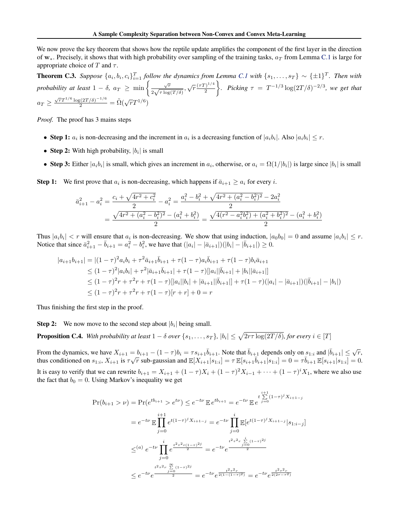<span id="page-9-0"></span>We now prove the key theorem that shows how the reptile update amplifies the component of the first layer in the direction of  $w_*$ . Precisely, it shows that with high probability over sampling of the training tasks,  $a_T$  from Lemma [C.1](#page--1-0) is large for appropriate choice of  $T$  and  $\tau$ .

**Theorem C.3.** Suppose  $\{a_i, b_i, c_i\}_{i=1}^T$  follow the dynamics from Lemma [C.1](#page--1-0) with  $\{s_1, \ldots, s_T\} \sim \{\pm 1\}^T$ . Then with probability at least  $1 - \delta$ ,  $a_T \geq \min \left\{ \frac{\sqrt{r}}{2\sqrt{\tau \log(T/\delta)}} , \sqrt{r} \frac{(\tau T)^{1/4}}{2} \right\}$ *f*. Picking  $\tau = T^{-1/3} \log(2T/\delta)^{-2/3}$ , we get that  $a_T \ge \frac{\sqrt{r}T^{1/6} \log(2T/\delta)^{-1/6}}{2} = \tilde{\Omega}(\sqrt{r}T^{1/6})$ 

*Proof.* The proof has 3 mains steps

- Step 1:  $a_i$  is non-decreasing and the increment in  $a_i$  is a decreasing function of  $|a_i b_i|$ . Also  $|a_i b_i| \leq r$ .
- *•* Step 2: With high probability, *|bi|* is small
- Step 3: Either  $|a_i b_i|$  is small, which gives an increment in  $a_i$ , otherwise, or  $a_i = \Omega(1/|b_i|)$  is large since  $|b_i|$  is small

**Step 1:** We first prove that  $a_i$  is non-decreasing, which happens if  $\bar{a}_{i+1} \geq a_i$  for every *i*.

$$
\bar{a}_{i+1}^2 - a_i^2 = \frac{c_i + \sqrt{4r^2 + c_i^2}}{2} - a_i^2 = \frac{a_i^2 - b_i^2 + \sqrt{4r^2 + (a_i^2 - b_i^2)^2} - 2a_i^2}{2}
$$

$$
= \frac{\sqrt{4r^2 + (a_i^2 - b_i^2)^2} - (a_i^2 + b_i^2)}{2} = \frac{\sqrt{4(r^2 - a_i^2b_i^2) + (a_i^2 + b_i^2)^2} - (a_i^2 + b_i^2)}{2}
$$

Thus  $|a_i b_i| < r$  will ensure that  $a_i$  is non-decreasing. We show that using induction,  $|a_0 b_0| = 0$  and assume  $|a_i b_i| \le r$ . Notice that since  $\bar{a}_{i+1}^2 - \bar{b}_{i+1} = a_i^2 - b_i^2$ , we have that  $(|a_i| - |\bar{a}_{i+1}|)(|b_i| - |\bar{b}_{i+1}|) \ge 0$ .

$$
|a_{i+1}b_{i+1}| = |(1-\tau)^2 a_i b_i + \tau^2 \bar{a}_{i+1} \bar{b}_{i+1} + \tau (1-\tau) a_i \bar{b}_{i+1} + \tau (1-\tau) b_i \bar{a}_{i+1}
$$
  
\n
$$
\leq (1-\tau)^2 |a_i b_i| + \tau^2 |\bar{a}_{i+1} \bar{b}_{i+1}| + \tau (1-\tau) [|a_i| |\bar{b}_{i+1}| + |b_i| |\bar{a}_{i+1}|]
$$
  
\n
$$
\leq (1-\tau)^2 r + \tau^2 r + \tau (1-\tau) [|a_i| |b_i| + |\bar{a}_{i+1}| |\bar{b}_{i+1}|] + \tau (1-\tau) (|a_i| - |\bar{a}_{i+1}|) (|\bar{b}_{i+1}| - |b_i|)
$$
  
\n
$$
\leq (1-\tau)^2 r + \tau^2 r + \tau (1-\tau) [r+r] + 0 = r
$$

Thus finishing the first step in the proof.

**Step 2:** We now move to the second step about  $|b_i|$  being small.

**Proposition C.4.** With probability at least  $1 - \delta$  over  $\{s_1, \ldots, s_T\}$ ,  $|b_i| \leq \sqrt{2r\tau \log(2T/\delta)}$ , for every  $i \in [T]$ 

From the dynamics, we have  $X_{i+1} = b_{i+1} - (1 - \tau)b_i = \tau s_{i+1} \overline{b}_{i+1}$ . Note that  $\overline{b}_{i+1}$  depends only on  $s_{1:i}$  and  $|\overline{b}_{i+1}| \leq \sqrt{r}$ , thus conditioned on  $s_{1:i}$ ,  $X_{i+1}$  is  $\tau\sqrt{r}$  sub-gaussian and  $\mathbb{E}[X_{i+1}|s_{1:i}] = \tau \mathbb{E}[s_{i+1}\overline{b}_{i+1}|s_{1:i}] = 0 = \tau \overline{b}_{i+1} \mathbb{E}[s_{i+1}|s_{1:i}] = 0$ . It is easy to verify that we can rewrite  $b_{i+1} = X_{i+1} + (1 - \tau)X_i + (1 - \tau)^2 X_{i-1} + \cdots + (1 - \tau)^i X_1$ , where we also use the fact that  $b_0 = 0$ . Using Markov's inequality we get

$$
\Pr(b_{i+1} > \nu) = \Pr(e^{tb_{i+1}} > e^{t\nu}) \le e^{-t\nu} \mathbb{E} e^{tb_{i+1}} = e^{-t\nu} \mathbb{E} e^{\frac{t^{i+1}_{\geq 0}(1-\tau)^j X_{i+1-j}}{j=0}}
$$

$$
= e^{-t\nu} \mathbb{E} \prod_{j=0}^{\frac{i+1}{j=0}} e^{t(1-\tau)^j X_{i+1-j}} = e^{-t\nu} \prod_{j=0}^{\frac{i}{j=0}} \mathbb{E} [e^{t(1-\tau)^j X_{i+1-j}} |s_{1:i-j}]
$$

$$
\leq^{(a)} e^{-t\nu} \prod_{j=0}^{\frac{i}{j}} e^{\frac{t^2\tau^2 r (1-\tau)^{2j}}{2}} = e^{-t\nu} e^{\frac{t^2\tau^2 r}{2}}
$$

$$
\leq e^{-t\nu} e^{\frac{t^2\tau^2 r \sum\limits_{j=0}^{\infty} (1-\tau)^{2j}}{2}} = e^{-t\nu} e^{\frac{t^2\tau^2 r}{2(1-(1-\tau)^2)}} = e^{-t\nu} e^{\frac{t^2\tau^2 r}{2(2\tau-\tau^2)}}
$$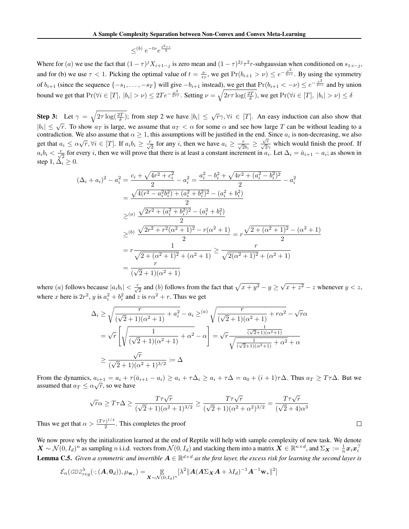$$
\leq^{(b)} e^{-t\nu} e^{\frac{t^2 \tau r}{2}}
$$

<span id="page-10-0"></span>Where for (*a*) we use the fact that  $(1 - \tau)^j X_{i+1-j}$  is zero mean and  $(1 - \tau)^{2j} \tau^2 r$ -subgaussian when conditioned on  $s_{1:i-j}$ , and for (b) we use  $\tau < 1$ . Picking the optimal value of  $t = \frac{\nu}{\tau r}$ , we get  $Pr(b_{i+1} > \nu) \le e^{-\frac{\nu^2}{2\tau r}}$ . By using the symmetry of  $b_{i+1}$  (since the sequence  $\{-s_1, \ldots, -s_T\}$  will give  $-b_{i+1}$  instead), we get that  $Pr(b_{i+1} < -\nu) \le e^{-\frac{\nu^2}{2\tau r}}$  and by union bound we get that  $Pr(\forall i \in [T], |b_i| > \nu) \leq 2Te^{-\frac{\nu^2}{2\tau r}}$ . Setting  $\nu = \sqrt{2r\tau \log(\frac{2T}{\delta})}$ , we get  $Pr(\forall i \in [T], |b_i| > \nu) \leq \delta$ 

Step 3: Let  $\gamma = \sqrt{2\tau \log(\frac{2T}{\delta})}$ ; from step 2 we have  $|b_i| \leq \sqrt{r}\gamma$ ,  $\forall i \in [T]$ . An easy induction can also show that  $|b_i| \leq \sqrt{r}$ . To show  $a_T$  is large, we assume that  $a_T < \alpha$  for some  $\alpha$  and see how large *T* can be without leading to a contradiction. We also assume that  $\alpha \geq 1$ , this assumptions will be justified in the end. Since  $a_i$  is non-decreasing, we also get that  $a_i \le \alpha \sqrt{r}$ ,  $\forall i \in [T]$ . If  $a_i b_i \ge \frac{r}{\sqrt{2}}$  for any i, then we have  $a_i \ge \frac{r}{\sqrt{2}b_i} \ge \frac{\sqrt{r}}{\sqrt{2}\gamma}$  which would finish the proof. If  $a_i b_i < \frac{r}{\sqrt{2}}$  for every *i*, then we will prove that there is at least a constant increment in  $a_i$ . Let  $\Delta_i = \bar{a}_{i+1} - a_i$ ; as shown in step 1,  $\dot{\Delta}_i \geq 0$ .

$$
(\Delta_i + a_i)^2 - a_i^2 = \frac{c_i + \sqrt{4r^2 + c_i^2}}{2} - a_i^2 = \frac{a_i^2 - b_i^2 + \sqrt{4r^2 + (a_i^2 - b_i^2)^2}}{2} - a_i^2
$$
  

$$
= \frac{\sqrt{4(r^2 - a_i^2b_i^2) + (a_i^2 + b_i^2)^2} - (a_i^2 + b_i^2)}{2}
$$
  

$$
\geq^{(a)} \frac{\sqrt{2r^2 + (a_i^2 + b_i^2)^2} - (a_i^2 + b_i^2)}{2}
$$
  

$$
\geq^{(b)} \frac{\sqrt{2r^2 + r^2(\alpha^2 + 1)^2} - r(\alpha^2 + 1)}{2} = r\frac{\sqrt{2 + (\alpha^2 + 1)^2} - (\alpha^2 + 1)}{2}
$$
  

$$
= r\frac{1}{\sqrt{2 + (\alpha^2 + 1)^2} + (\alpha^2 + 1)} \geq \frac{r}{\sqrt{2(\alpha^2 + 1)^2} + (\alpha^2 + 1)}
$$
  

$$
= \frac{r}{(\sqrt{2} + 1)(\alpha^2 + 1)}
$$

where (a) follows because  $|a_i b_i| < \frac{r}{\sqrt{2}}$  and (b) follows from the fact that  $\sqrt{x+y^2} - y \ge \sqrt{x+z^2} - z$  whenever  $y < z$ , where *x* here is  $2r^2$ , *y* is  $a_i^2 + b_i^2$  and *z* is  $r\alpha^2 + r$ . Thus we get

$$
\Delta_i \ge \sqrt{\frac{r}{(\sqrt{2}+1)(\alpha^2+1)} + a_i^2} - a_i \ge (a) \sqrt{\frac{r}{(\sqrt{2}+1)(\alpha^2+1)} + r\alpha^2} - \sqrt{r}\alpha
$$
  
=  $\sqrt{r} \left[ \sqrt{\frac{1}{(\sqrt{2}+1)(\alpha^2+1)} + \alpha^2} - \alpha \right] = \sqrt{r} \frac{\frac{1}{(\sqrt{2}+1)(\alpha^2+1)}}{\sqrt{\frac{1}{(\sqrt{2}+1)(\alpha^2+1)} + \alpha^2} + \alpha}$   
 $\ge \frac{\sqrt{r}}{(\sqrt{2}+1)(\alpha^2+1)^{3/2}} := \Delta$ 

From the dynamics,  $a_{i+1} = a_i + \tau(\bar{a}_{i+1} - a_i) \ge a_i + \tau \Delta_i \ge a_i + \tau \Delta = a_0 + (i+1)\tau \Delta$ . Thus  $a_T \ge T\tau \Delta$ . But we assumed that  $a_T \leq \alpha \sqrt{r}$ , so we have

$$
\sqrt{r}\alpha \ge T\tau\Delta \ge \frac{T\tau\sqrt{r}}{(\sqrt{2}+1)(\alpha^2+1)^{3/2}} \ge \frac{T\tau\sqrt{r}}{(\sqrt{2}+1)(\alpha^2+\alpha^2)^{3/2}} = \frac{T\tau\sqrt{r}}{(\sqrt{2}+4)\alpha^3}
$$

Thus we get that  $\alpha > \frac{(T\tau)^{1/4}}{2}$ . This completes the proof

We now prove why the initialization learned at the end of Reptile will help with sample complexity of new task. We denote  $\mathbf{X} \sim \mathcal{N}(0, I_d)^n$  as sampling n i.i.d. vectors from  $\mathcal{N}(0, I_d)$  and stacking them into a matrix  $\mathbf{X} \in \mathbb{R}^{n \times d}$ , and  $\Sigma_{\mathbf{X}} := \frac{1}{n} \mathbf{x}_i \mathbf{x}_i^{\top}$ **Lemma C.5.** *Given a symmetric and invertible*  $A \in \mathbb{R}^{d \times d}$  *as the first layer, the excess risk for learning the second layer is* 

$$
\mathcal{E}_n(\text{GD2}_{reg}^{\lambda}(\cdot; (\mathbf{A}, \mathbf{0}_d)), \mu_{\mathbf{w}_*}) = \mathop{\mathbb{E}}_{\mathbf{X} \sim \mathcal{N}(0, I_d)^n} [\lambda^2 || \mathbf{A} (\mathbf{A} \Sigma_{\mathbf{X}} \mathbf{A} + \lambda I_d)^{-1} \mathbf{A}^{-1} \mathbf{w}_* ||^2]
$$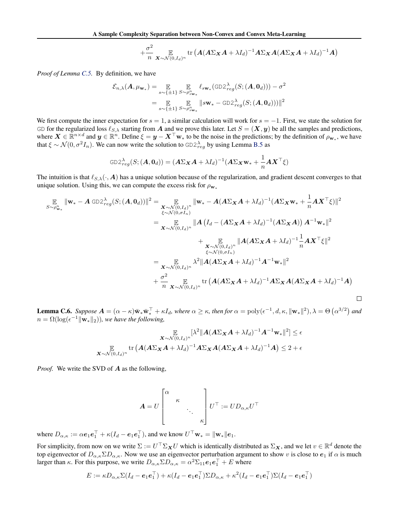$$
+ \frac{\sigma^2}{n} \mathop{\mathbb{E}}_{\mathbf{X} \sim \mathcal{N}(0, I_d)^n} tr \left( \mathbf{A} (\mathbf{A} \Sigma_{\mathbf{X}} \mathbf{A} + \lambda I_d)^{-1} \mathbf{A} \Sigma_{\mathbf{X}} \mathbf{A} (\mathbf{A} \Sigma_{\mathbf{X}} \mathbf{A} + \lambda I_d)^{-1} \mathbf{A} \right)
$$

*Proof of Lemma [C.5.](#page--1-0)* By definition, we have

$$
\mathcal{E}_{n,\lambda}(\mathbf{A}, \mu_{\mathbf{w}_*}) = \mathop{\mathbb{E}}_{s \sim \{\pm 1\}} \mathop{\mathbb{E}}_{S \sim \rho_{s_{\mathbf{w}_*}}^n} \ell_{s_{\mathbf{w}_*}}(\text{GD2}_{reg}^{\lambda}(S; (\mathbf{A}, \mathbf{0}_d))) - \sigma^2
$$

$$
= \mathop{\mathbb{E}}_{s \sim \{\pm 1\}} \mathop{\mathbb{E}}_{S \sim \rho_{s_{\mathbf{w}_*}}^n} \|s_{\mathbf{w}_*} - \text{GD2}_{reg}^{\lambda}(S; (\mathbf{A}, \mathbf{0}_d)))\|^2
$$

We first compute the inner expectation for  $s = 1$ , a similar calculation will work for  $s = -1$ . First, we state the solution for GD for the regularized loss  $\ell_{S,\lambda}$  starting from *A* and we prove this later. Let  $S = (\mathbf{X}, \mathbf{y})$  be all the samples and predictions, where  $X \in \mathbb{R}^{n \times d}$  and  $y \in \mathbb{R}^n$ . Define  $\xi = y - X^\top w_*$  to be the noise in the predictions; by the definition of  $\rho_{w_*}$ , we have that  $\xi \sim \mathcal{N}(0, \sigma^2 I_n)$ . We can now write the solution to  $GD2_{reg}^{\lambda}$  by using Lemma [B.5](#page-14-0) as

$$
\text{GD2}_{reg}^{\lambda}(S; (\boldsymbol{A}, \boldsymbol{0}_d)) = (\boldsymbol{A} \Sigma_{\boldsymbol{X}} \boldsymbol{A} + \lambda I_d)^{-1} (\boldsymbol{A} \Sigma_{\boldsymbol{X}} \mathbf{w}_{*} + \frac{1}{n} \boldsymbol{A} \boldsymbol{X}^{\top} \boldsymbol{\xi})
$$

The intuition is that  $\ell_{S,\lambda}(\cdot, A)$  has a unique solution because of the regularization, and gradient descent converges to that unique solution. Using this, we can compute the excess risk for  $\rho_{\mathbf{w}_*}$ 

$$
\mathbb{E}_{S \sim \rho_{\mathbf{w}_*}^n} \|\mathbf{w}_* - A \text{ GD2}_{reg}^{\lambda}(S; (A, \mathbf{0}_d))\|^2 = \mathbb{E}_{\substack{\mathbf{K} \sim \mathcal{N}(0, I_d)^n \\ \xi \sim \mathcal{N}(0, \sigma I_n)}} \|\mathbf{w}_* - A(A\Sigma_{\mathbf{X}}A + \lambda I_d)^{-1}(A\Sigma_{\mathbf{X}}\mathbf{w}_* + \frac{1}{n}A\mathbf{X}^\top \xi)\|^2
$$
\n
$$
= \mathbb{E}_{\substack{\mathbf{K} \sim \mathcal{N}(0, I_d)^n \\ \xi \sim \mathcal{N}(0, I_d)^n}} \|A(I_d - (A\Sigma_{\mathbf{X}}A + \lambda I_d)^{-1}(A\Sigma_{\mathbf{X}}A)) A^{-1} \mathbf{w}_* \|^2
$$
\n
$$
+ \mathbb{E}_{\substack{\mathbf{K} \sim \mathcal{N}(0, I_d)^n \\ \xi \sim \mathcal{N}(0, \sigma I_n)}} \|A(A\Sigma_{\mathbf{X}}A + \lambda I_d)^{-1} \frac{1}{n}A\mathbf{X}^\top \xi\|^2
$$
\n
$$
+ \frac{\mathbb{E}_{\mathbf{K} \sim \mathcal{N}(0, I_d)^n}}{\mathbb{E}_{\mathbf{K} \sim \mathcal{N}(0, I_d)^n}} \lambda^2 \|A(A\Sigma_{\mathbf{X}}A + \lambda I_d)^{-1} A^{-1} \mathbf{w}_* \|^2
$$
\n
$$
+ \frac{\sigma^2}{n} \mathbb{E}_{\mathbf{K} \sim \mathcal{N}(0, I_d)^n} \text{tr}\left(A(A\Sigma_{\mathbf{X}}A + \lambda I_d)^{-1}A\Sigma_{\mathbf{X}}A(A\Sigma_{\mathbf{X}}A + \lambda I_d)^{-1}A\right)
$$

**Lemma C.6.** Suppose  $A = (\alpha - \kappa)\bar{\mathbf{w}}_{*}\bar{\mathbf{w}}_{*}^{\top} + \kappa I_d$ , where  $\alpha \geq \kappa$ , then for  $\alpha = \text{poly}(\epsilon^{-1}, d, \kappa, ||\mathbf{w}_{*}||^{2}), \lambda = \Theta\left(\alpha^{3/2}\right)$  and  $n = \Omega(\log(\epsilon^{-1} \|\mathbf{w}_*\|_2))$ , we have the following,

$$
\mathbb{E}_{\substack{\mathbf{X}\sim\mathcal{N}(0,I_d)^n}}[\lambda^2\|\mathbf{A}(A\Sigma_{\mathbf{X}}\mathbf{A}+\lambda I_d)^{-1}\mathbf{A}^{-1}\mathbf{w}_*\|^2] \leq \epsilon
$$
  

$$
\mathbb{E}_{\substack{\mathbf{X}\sim\mathcal{N}(0,I_d)^n}}\text{tr}\left(\mathbf{A}(A\Sigma_{\mathbf{X}}\mathbf{A}+\lambda I_d)^{-1}\mathbf{A}\Sigma_{\mathbf{X}}\mathbf{A}(A\Sigma_{\mathbf{X}}\mathbf{A}+\lambda I_d)^{-1}\mathbf{A}\right) \leq 2+\epsilon
$$

*Proof.* We write the SVD of *A* as the following,

$$
\mathbf{A} = U \begin{bmatrix} \alpha & & & \\ & \kappa & & \\ & & \ddots & \\ & & & \kappa \end{bmatrix} U^{\top} := U D_{\alpha,\kappa} U^{\top}
$$

where  $D_{\alpha,\kappa} := \alpha e_1 e_1^{\dagger} + \kappa (I_d - e_1 e_1^{\dagger})$ , and we know  $U^{\dagger} \mathbf{w}_* = ||\mathbf{w}_*||e_1$ .

For simplicity, from now on we write  $\Sigma := U^\top \Sigma_{\mathbf{X}} U$  which is identically distributed as  $\Sigma_{\mathbf{X}}$ , and we let  $v \in \mathbb{R}^d$  denote the top eigenvector of  $D_{\alpha,\kappa} \Sigma D_{\alpha,\kappa}$ . Now we use an eigenvector perturbation argument to show *v* is close to  $e_1$  if  $\alpha$  is much larger than  $\kappa$ . For this purpose, we write  $D_{\alpha,\kappa} \Sigma D_{\alpha,\kappa} = \alpha^2 \Sigma_{11} e_1 e_1^\top + E$  where

$$
E := \kappa D_{\alpha,\kappa} \Sigma (I_d - \boldsymbol{e}_1 \boldsymbol{e}_1^\top) + \kappa (I_d - \boldsymbol{e}_1 \boldsymbol{e}_1^\top) \Sigma D_{\alpha,\kappa} + \kappa^2 (I_d - \boldsymbol{e}_1 \boldsymbol{e}_1^\top) \Sigma (I_d - \boldsymbol{e}_1 \boldsymbol{e}_1^\top)
$$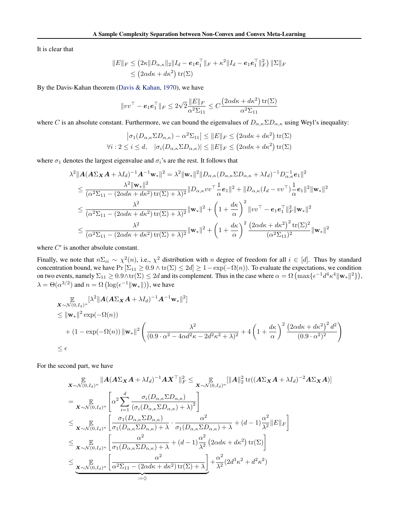<span id="page-12-0"></span>It is clear that

$$
||E||_F \le (2\kappa ||D_{\alpha,\kappa}||_2 ||I_d - e_1e_1||_F + \kappa^2 ||I_d - e_1e_1||_F^2) ||\Sigma||_F
$$
  
 
$$
\le (2\alpha d\kappa + d\kappa^2) \operatorname{tr}(\Sigma)
$$

By the Davis-Kahan theorem [\(Davis & Kahan,](#page-8-0) [1970\)](#page-8-0), we have

$$
||vv^\top - \boldsymbol{e}_1 \boldsymbol{e}_1^\top||_F \leq 2\sqrt{2} \frac{||E||_F}{\alpha^2 \Sigma_{11}} \leq C \frac{\left(2\alpha d\kappa + d\kappa^2\right) \text{tr}(\Sigma)}{\alpha^2 \Sigma_{11}}
$$

where *C* is an absolute constant. Furthermore, we can bound the eigenvalues of  $D_{\alpha,\kappa} \Sigma D_{\alpha,\kappa}$  using Weyl's inequality:

$$
\left|\sigma_1(D_{\alpha,\kappa} \Sigma D_{\alpha,\kappa}) - \alpha^2 \Sigma_{11}\right| \leq \|E\|_F \leq \left(2\alpha d\kappa + d\kappa^2\right) \text{tr}(\Sigma)
$$
  

$$
\forall i: 2 \leq i \leq d, \quad \left|\sigma_i(D_{\alpha,\kappa} \Sigma D_{\alpha,\kappa})\right| \leq \|E\|_F \leq \left(2\alpha d\kappa + d\kappa^2\right) \text{tr}(\Sigma)
$$

where  $\sigma_1$  denotes the largest eigenvalue and  $\sigma_i$ 's are the rest. It follows that

$$
\lambda^{2} \|\mathbf{A}(\mathbf{A}\Sigma_{\mathbf{X}}\mathbf{A} + \lambda I_{d})^{-1}\mathbf{A}^{-1}\mathbf{w}_{*}\|^{2} = \lambda^{2} \|\mathbf{w}_{*}\|^{2} \|D_{\alpha,\kappa}(D_{\alpha,\kappa}\Sigma D_{\alpha,\kappa} + \lambda I_{d})^{-1} D_{\alpha,\kappa}^{-1} e_{1}\|^{2}
$$
\n
$$
\leq \frac{\lambda^{2} \|\mathbf{w}_{*}\|^{2}}{(\alpha^{2}\Sigma_{11} - (2\alpha d\kappa + d\kappa^{2}) \operatorname{tr}(\Sigma) + \lambda)^{2}} \|D_{\alpha,\kappa}vv^{\top}\frac{1}{\alpha}e_{1}\|^{2} + \|D_{\alpha,\kappa}(I_{d} - vv^{\top})\frac{1}{\alpha}e_{1}\|^{2} \|\mathbf{w}_{*}\|^{2}
$$
\n
$$
\leq \frac{\lambda^{2}}{(\alpha^{2}\Sigma_{11} - (2\alpha d\kappa + d\kappa^{2}) \operatorname{tr}(\Sigma) + \lambda)^{2}} \|\mathbf{w}_{*}\|^{2} + \left(1 + \frac{d\kappa}{\alpha}\right)^{2} \|vv^{\top} - e_{1}e_{1}^{\top}\|_{F}^{2} \|\mathbf{w}_{*}\|^{2}
$$
\n
$$
\leq \frac{\lambda^{2}}{(\alpha^{2}\Sigma_{11} - (2\alpha d\kappa + d\kappa^{2}) \operatorname{tr}(\Sigma) + \lambda)^{2}} \|\mathbf{w}_{*}\|^{2} + \left(1 + \frac{d\kappa}{\alpha}\right)^{2} \frac{(2\alpha d\kappa + d\kappa^{2})^{2} \operatorname{tr}(\Sigma)^{2}}{(\alpha^{2}\Sigma_{11})^{2}} \|\mathbf{w}_{*}\|^{2}
$$

where  $C'$  is another absolute constant.

Finally, we note that  $n\Sigma_{ii} \sim \chi^2(n)$ , i.e.,  $\chi^2$  distribution with *n* degree of freedom for all  $i \in [d]$ . Thus by standard concentration bound, we have  $Pr\left[\Sigma_{11} \geq 0.9 \land \text{tr}(\Sigma) \leq 2d\right] \geq 1 - \exp(-\Omega(n))$ . To evaluate the expectations, we condition on two events, namely  $\Sigma_{11} \geq 0.9 \wedge \text{tr}(\Sigma) \leq 2d$  and its complement. Thus in the case where  $\alpha = \Omega \left( \max\{\epsilon^{-1} d^4 \kappa^4 ||\mathbf{w}_*||^2\} \right)$ ,  $\lambda = \Theta(\alpha^{3/2})$  and  $n = \Omega\left(\log(\epsilon^{-1} \|\mathbf{w}_*\|)\right)$ , we have

$$
\mathbf{X} \sim \mathcal{N}(0, I_d)^n \left[\lambda^2 \|\mathbf{A} (\mathbf{A} \Sigma_{\mathbf{X}} \mathbf{A} + \lambda I_d)^{-1} \mathbf{A}^{-1} \mathbf{w}_* \|^2\right]
$$
\n
$$
\leq \|\mathbf{w}_*\|^2 \exp(-\Omega(n))
$$
\n
$$
+ (1 - \exp(-\Omega(n)) \|\mathbf{w}_*\|^2 \left(\frac{\lambda^2}{(0.9 \cdot \alpha^2 - 4\alpha d^2 \kappa - 2d^2 \kappa^2 + \lambda)^2} + 4\left(1 + \frac{d\kappa}{\alpha}\right)^2 \frac{\left(2\alpha d\kappa + d\kappa^2\right)^2 d^2}{(0.9 \cdot \alpha^2)^2}\right)
$$
\n
$$
\leq \epsilon
$$

For the second part, we have

$$
\mathbb{E}_{\mathbf{X} \sim \mathcal{N}(0, I_d)^n} \|A(A\Sigma_{\mathbf{X}}A + \lambda I_d)^{-1} A \mathbf{X}^\top\|_F^2 \leq \mathbb{E}_{\mathbf{X} \sim \mathcal{N}(0, I_d)^n} \|A\|_2^2 \operatorname{tr}((A\Sigma_{\mathbf{X}}A + \lambda I_d)^{-2} A \Sigma_{\mathbf{X}}A)\|_F
$$
\n
$$
= \mathbb{E}_{\mathbf{X} \sim \mathcal{N}(0, I_d)^n} \left[ \alpha^2 \sum_{i=1}^d \frac{\sigma_i (D_{\alpha,\kappa} \Sigma D_{\alpha,\kappa})}{(\sigma_i (D_{\alpha,\kappa} \Sigma D_{\alpha,\kappa}) + \lambda)^2} \right]
$$
\n
$$
\leq \mathbb{E}_{\mathbf{X} \sim \mathcal{N}(0, I_d)^n} \left[ \frac{\sigma_1 (D_{\alpha,\kappa} \Sigma D_{\alpha,\kappa})}{\sigma_1 (D_{\alpha,\kappa} \Sigma D_{\alpha,\kappa}) + \lambda} \cdot \frac{\alpha^2}{\sigma_1 (D_{\alpha,\kappa} \Sigma D_{\alpha,\kappa}) + \lambda} + (d - 1) \frac{\alpha^2}{\lambda^2} \|E\|_F \right]
$$
\n
$$
\leq \mathbb{E}_{\mathbf{X} \sim \mathcal{N}(0, I_d)^n} \left[ \frac{\alpha^2}{\sigma_1 (D_{\alpha,\kappa} \Sigma D_{\alpha,\kappa}) + \lambda} + (d - 1) \frac{\alpha^2}{\lambda^2} \left( 2\alpha d\kappa + d\kappa^2 \right) \operatorname{tr}(\Sigma) \right]
$$
\n
$$
\leq \mathbb{E}_{\mathbf{X} \sim \mathcal{N}(0, I_d)^n} \left[ \frac{\alpha^2}{\alpha^2 \Sigma_{11} - (2\alpha d\kappa + d\kappa^2) \operatorname{tr}(\Sigma) + \lambda} \right] + \frac{\alpha^2}{\lambda^2} (2d^3\kappa^2 + d^2\kappa^2)
$$
\n
$$
\xrightarrow{\text{Var}(0, I_d)^n} \left[ \frac{\alpha^2}{\alpha^2 \Sigma_{11} - (2\alpha d\kappa + d\kappa^2) \operatorname{tr}(\Sigma) + \lambda} \right] + \frac{\alpha^2}{\lambda^2} (2d^3\kappa
$$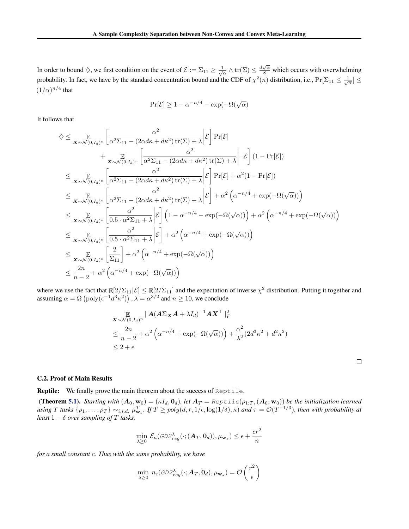In order to bound  $\Diamond$ , we first condition on the event of  $\mathcal{E} := \Sigma_{11} \ge \frac{1}{\sqrt{\alpha}} \wedge \text{tr}(\Sigma) \le \frac{d\sqrt{\alpha}}{8}$  which occurs with overwhelming probability. In fact, we have by the standard concentration bound and the CDF of  $\chi^2(n)$  distribution, i.e.,  $Pr[\Sigma_{11} \leq \frac{1}{\sqrt{\alpha}}] \leq$  $(1/\alpha)^{n/4}$  that

$$
\Pr[\mathcal{E}] \ge 1 - \alpha^{-n/4} - \exp(-\Omega(\sqrt{\alpha}))
$$

It follows that

$$
\diamondsuit \leq \mathop{\mathbb{E}}_{\mathbf{X} \sim \mathcal{N}(0, I_d)^n} \left[ \frac{\alpha^2}{\alpha^2 \Sigma_{11} - (2\alpha d\kappa + d\kappa^2) \operatorname{tr}(\Sigma) + \lambda} \middle| \mathcal{E} \right] \Pr[\mathcal{E}] \n+ \mathop{\mathbb{E}}_{\mathbf{X} \sim \mathcal{N}(0, I_d)^n} \left[ \frac{\alpha^2}{\alpha^2 \Sigma_{11} - (2\alpha d\kappa + d\kappa^2) \operatorname{tr}(\Sigma) + \lambda} \middle| -\mathcal{E} \right] (1 - \Pr[\mathcal{E}]) \n\leq \mathop{\mathbb{E}}_{\mathbf{X} \sim \mathcal{N}(0, I_d)^n} \left[ \frac{\alpha^2}{\alpha^2 \Sigma_{11} - (2\alpha d\kappa + d\kappa^2) \operatorname{tr}(\Sigma) + \lambda} \middle| \mathcal{E} \right] \Pr[\mathcal{E}] + \alpha^2 (1 - \Pr[\mathcal{E}]) \n\leq \mathop{\mathbb{E}}_{\mathbf{X} \sim \mathcal{N}(0, I_d)^n} \left[ \frac{\alpha^2}{\alpha^2 \Sigma_{11} - (2\alpha d\kappa + d\kappa^2) \operatorname{tr}(\Sigma) + \lambda} \middle| \mathcal{E} \right] + \alpha^2 \left( \alpha^{-n/4} + \exp(-\Omega(\sqrt{\alpha})) \right) \n\leq \mathop{\mathbb{E}}_{\mathbf{X} \sim \mathcal{N}(0, I_d)^n} \left[ \frac{\alpha^2}{0.5 \cdot \alpha^2 \Sigma_{11} + \lambda} \middle| \mathcal{E} \right] \left( 1 - \alpha^{-n/4} - \exp(-\Omega(\sqrt{\alpha})) \right) + \alpha^2 \left( \alpha^{-n/4} + \exp(-\Omega(\sqrt{\alpha})) \right) \n\leq \mathop{\mathbb{E}}_{\mathbf{X} \sim \mathcal{N}(0, I_d)^n} \left[ \frac{\alpha^2}{0.5 \cdot \alpha^2 \Sigma_{11} + \lambda} \middle| \mathcal{E} \right] + \alpha^2 \left( \alpha^{-n/4} + \exp(-\Omega(\sqrt{\alpha})) \right) \n\leq \mathop{\mathbb{E}}_{\mathbf{X} \sim \mathcal{N}(0, I_d)^n} \left[ \frac{2
$$

where we use the fact that  $\mathbb{E}[2/\Sigma_{11}|\mathcal{E}] \leq \mathbb{E}[2/\Sigma_{11}]$  and the expectation of inverse  $\chi^2$  distribution. Putting it together and assuming  $\alpha = \Omega\left(\text{poly}(\epsilon^{-1}d^3\kappa^2)\right), \lambda = \alpha^{3/2}$  and  $n \ge 10$ , we conclude

$$
\mathbf{X} \sim \mathcal{N}(0, I_d)^n \|A(A\Sigma_{\mathbf{X}} A + \lambda I_d)^{-1} A \mathbf{X}^\top\|_F^2
$$
\n
$$
\leq \frac{2n}{n-2} + \alpha^2 \left(\alpha^{-n/4} + \exp(-\Omega(\sqrt{\alpha}))\right) + \frac{\alpha^2}{\lambda^2} (2d^3 \kappa^2 + d^2 \kappa^2)
$$
\n
$$
\leq 2 + \epsilon
$$

 $\Box$ 

#### C.2. Proof of Main Results

Reptile: We finally prove the main theorem about the success of Reptile.

(Theorem [5.1\)](#page-4-0). *Starting with*  $(A_0, w_0) = (\kappa I_d, 0_d)$ , let  $A_T =$  Reptile $(\rho_{1:T}, (A_0, w_0))$  be the initialization learned using T tasks  $\{\rho_1,\ldots,\rho_T\} \sim_{i.i.d.} \mu_{\mathbf{w}_*}^T$ . If  $T \geq poly(d,r,1/\epsilon,\log(1/\delta),\kappa)$  and  $\tau = \mathcal{O}(T^{-1/3})$ , then with probability at *least*  $1 - \delta$  *over sampling of*  $T$  *tasks,* 

$$
\min_{\lambda \geq 0} \mathcal{E}_n(\text{GD2}_{reg}^{\lambda}(\cdot; (\boldsymbol{A}_T, \boldsymbol{0}_d)), \mu_{\mathbf{w}_*}) \leq \epsilon + \frac{cr^2}{n}
$$

*for a small constant c. Thus with the same probability, we have*

$$
\min_{\lambda \geq 0} n_{\epsilon}(\text{GD2}_{reg}^{\lambda}(\cdot; \mathbf{A}_T, \mathbf{0}_d), \mu_{\mathbf{w}_*}) = \mathcal{O}\left(\frac{r^2}{\epsilon}\right)
$$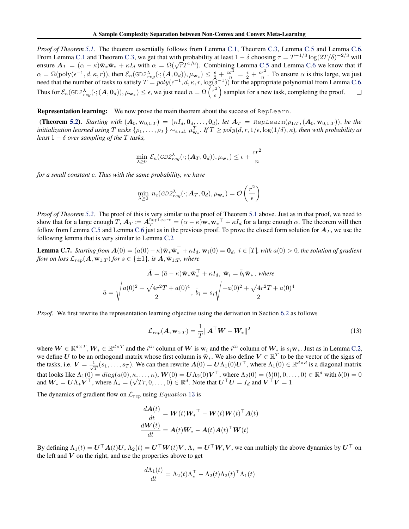<span id="page-14-0"></span>*Proof of Theorem [5.1.](#page-4-0)* The theorem essentially follows from Lemma [C.1,](#page--1-0) Theorem [C.3,](#page--1-0) Lemma [C.5](#page--1-0) and Lemma [C.6.](#page--1-0) From Lemma [C.1](#page--1-0) and Theorem [C.3,](#page--1-0) we get that with probability at least  $1 - \delta$  choosing  $\tau = T^{-1/3} \log(2T/\delta)^{-2/3}$  will ensure  $A_T = (\alpha - \kappa)\bar{w}_*\bar{w}_* + \kappa I_d$  with  $\alpha = \Omega(\sqrt{T}T^{1/6})$ . Combining Lemma [C.5](#page--1-0) and Lemma [C.6](#page--1-0) we know that if  $\alpha = \Omega(\text{poly}(\epsilon^{-1}, d, \kappa, r))$ , then  $\mathcal{E}_n(\text{GD2}_{reg}^{\lambda}(\cdot; (A, \mathbf{0}_d)), \mu_{\mathbf{w}_*}) \leq \frac{\epsilon}{2} + \frac{c\sigma^2}{n} = \frac{\epsilon}{2} + \frac{cr^2}{n}$ . To ensure  $\alpha$  is this large, we just need that the number of tasks to satisfy  $T = poly(\epsilon^{-1}, d, \kappa, r, \log(\delta^{-1}))$  for the appropriate polynomial from Lemma [C.6.](#page--1-0) Thus for  $\mathcal{E}_n(\text{GD2}_{reg}^{\lambda}(\cdot; (A, \mathbf{0}_d)), \mu_{\mathbf{w}_*}) \le \epsilon$ , we just need  $n = \Omega\left(\frac{r^2}{\epsilon}\right)$ ⌘ samples for a new task, completing the proof.  $\Box$ 

Representation learning: We now prove the main theorem about the success of RepLearn.

**(Theorem [5.2\)](#page-5-0).** Starting with  $(A_0, w_{0,1:T}) = (\kappa I_d, 0_d, ..., 0_d)$ , let  $A_T = \text{RepLearn}(\rho_{1:T}, (A_0, w_{0,1:T}))$ , be the initialization learned using T tasks  $\{\rho_1,\ldots,\rho_T\} \sim_{i.i.d.} \mu_{\mathbf{w}_*}^T$ . If  $T \geq poly(d,r,1/\epsilon,\log(1/\delta),\kappa)$ , then with probability at *least*  $1 - \delta$  *over sampling of the T tasks,* 

$$
\min_{\lambda \geq 0} \mathcal{E}_n(\textit{GD2}_{reg}^{\lambda}(\cdot; (\boldsymbol{A}_T, \boldsymbol{0}_d)), \mu_{\mathbf{w}_*}) \leq \epsilon + \frac{cr^2}{n}
$$

*for a small constant c. Thus with the same probability, we have*

$$
\min_{\lambda \geq 0} n_{\epsilon}(\text{GD2}_{reg}^{\lambda}(\cdot; \mathbf{A}_T, \mathbf{0}_d), \mu_{\mathbf{w}_*}) = \mathcal{O}\left(\frac{r^2}{\epsilon}\right)
$$

*Proof of Theorem [5.2.](#page-5-0)* The proof of this is very similar to the proof of Theorem [5.1](#page-4-0) above. Just as in that proof, we need to show that for a large enough *T*,  $A_T := A_T^{\text{Replace}} = (\alpha - \kappa) \mathbf{w}_* \mathbf{w}_*^\top + \kappa I_d$  for a large enough  $\alpha$ . The theorem will then follow from Lemma [C.5](#page--1-0) and Lemma [C.6](#page--1-0) just as in the previous proof. To prove the closed form solution for *A<sup>T</sup>* , we use the following lemma that is very similar to Lemma [C.2](#page--1-0)

**Lemma C.7.** *Starting from*  $\mathbf{A}(0) = (a(0) - \kappa) \bar{\mathbf{w}}_* \bar{\mathbf{w}}_*^{\perp} + \kappa I_d$ ,  $\mathbf{w}_i(0) = \mathbf{0}_d$ ,  $i \in [T]$ , with  $a(0) > 0$ , the solution of gradient *flow on loss*  $\mathcal{L}_{rep}(A, \mathbf{w}_{1:T})$  *for*  $s \in \{\pm 1\}$ *, is*  $\overline{A}, \overline{\mathbf{w}}_{1:T}$ *, where* 

$$
\bar{A} = (\bar{a} - \kappa)\bar{\mathbf{w}}_{*}\bar{\mathbf{w}}_{*}^{\top} + \kappa I_{d}, \ \bar{\mathbf{w}}_{i} = \bar{b}_{i}\bar{\mathbf{w}}_{*}, \ where
$$
\n
$$
\bar{a} = \sqrt{\frac{a(0)^{2} + \sqrt{4r^{2}T + a(0)^{4}}}{2}}, \ \bar{b}_{i} = s_{i}\sqrt{\frac{-a(0)^{2} + \sqrt{4r^{2}T + a(0)^{4}}}{2}}
$$

*Proof.* We first rewrite the representation learning objective using the derivation in Section [6.2](#page-6-0) as follows

$$
\mathcal{L}_{rep}(\boldsymbol{A}, \mathbf{w}_{1:T}) = \frac{1}{T} ||\boldsymbol{A}^\top \boldsymbol{W} - \boldsymbol{W}_*||^2
$$
\n(13)

where  $W \in \mathbb{R}^{d \times T}$ ,  $W_* \in \mathbb{R}^{d \times T}$  and the *i*<sup>th</sup> column of W is  $w_i$  and the *i*<sup>th</sup> column of  $W_*$  is  $s_i w_*$ . Just as in Lemma [C.2,](#page--1-0) we define *U* to be an orthogonal matrix whose first column is  $\bar{w}_*$ . We also define  $V \in \mathbb{R}^T$  to be the vector of the signs of the tasks, i.e.  $V = \frac{1}{\sqrt{T}}(s_1,\ldots,s_T)$ . We can then rewrite  $A(0) = U\Lambda_1(0)U^\top$ , where  $\Lambda_1(0) \in \mathbb{R}^{d \times d}$  is a diagonal matrix that looks like  $\Lambda_1(0) = diag(a(0), \kappa, \dots, \kappa)$ ,  $W(0) = U\Lambda_2(0)V^\top$ , where  $\Lambda_2(0) = (b(0), 0, \dots, 0) \in \mathbb{R}^d$  with  $b(0) = 0$ <br>and  $W_* = U\Lambda_* V^\top$ , where  $\Lambda_* = (\sqrt{T}r, 0, \dots, 0) \in \mathbb{R}^d$ . Note that  $U^\top U = I_d$  and  $V^\top V = 1$ 

The dynamics of gradient flow on *Lrep* using *Equation* [13](#page--1-0) is

$$
\frac{d\mathbf{A}(t)}{dt} = \mathbf{W}(t)\mathbf{W}_{*}^{\top} - \mathbf{W}(t)\mathbf{W}(t)^{\top}\mathbf{A}(t)
$$

$$
\frac{d\mathbf{W}(t)}{dt} = \mathbf{A}(t)\mathbf{W}_{*} - \mathbf{A}(t)\mathbf{A}(t)^{\top}\mathbf{W}(t)
$$

By defining  $\Lambda_1(t) = U^\top A(t)U$ ,  $\Lambda_2(t) = U^\top W(t)V$ ,  $\Lambda_* = U^\top W_*V$ , we can multiply the above dynamics by  $U^\top$  on the left and  $V$  on the right, and use the properties above to get

$$
\frac{d\Lambda_1(t)}{dt} = \Lambda_2(t)\Lambda_*^{\top} - \Lambda_2(t)\Lambda_2(t)^{\top}\Lambda_1(t)
$$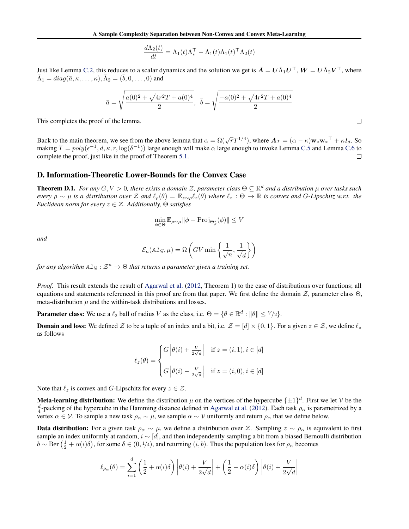$$
\frac{d\Lambda_2(t)}{dt} = \Lambda_1(t)\Lambda_*^{\top} - \Lambda_1(t)\Lambda_1(t)^{\top}\Lambda_2(t)
$$

Just like Lemma [C.2,](#page--1-0) this reduces to a scalar dynamics and the solution we get is  $\bar{A} = U \bar{\Lambda}_1 U^\top$ ,  $\bar{W} = U \bar{\Lambda}_2 V^\top$ , where  $\bar{\Lambda}_1 = diag(\bar{a}, \kappa, \ldots, \kappa), \bar{\Lambda}_2 = (\bar{b}, 0, \ldots, 0)$  and

$$
\bar{a} = \sqrt{\frac{a(0)^2 + \sqrt{4r^2T + a(0)^4}}{2}}, \ \ \bar{b} = \sqrt{\frac{-a(0)^2 + \sqrt{4r^2T + a(0)^4}}{2}}
$$

This completes the proof of the lemma.

Back to the main theorem, we see from the above lemma that  $\alpha = \Omega(\sqrt{r}T^{1/4})$ , where  $A_T = (\alpha - \kappa)w_*w_*^\top + \kappa I_d$ . So making  $T = poly(\epsilon^{-1}, d, \kappa, r, \log(\delta^{-1}))$  large enough will make  $\alpha$  large enough to invoke Lemma [C.5](#page--1-0) and Lemma [C.6](#page--1-0) to complete the proof, just like in the proof of Theorem [5.1.](#page-4-0)  $\Box$ 

## D. Information-Theoretic Lower-Bounds for the Convex Case

**Theorem D.1.** For any  $G, V > 0$ , there exists a domain  $\mathcal{Z}$ , parameter class  $\Theta \subseteq \mathbb{R}^d$  and a distribution  $\mu$  over tasks such *every*  $\rho \sim \mu$  *is a distribution over*  $\mathcal Z$  *and*  $\ell_\rho(\theta) = \mathbb E_{z\sim\rho}\ell_z(\theta)$  *where*  $\ell_z : \Theta \to \mathbb R$  *is convex and G-Lipschitz w.r.t. the Euclidean norm for every*  $z \in \mathcal{Z}$ *. Additionally,*  $\Theta$  *satisfies* 

$$
\min_{\phi \in \Theta} \mathbb{E}_{\rho \sim \mu} ||\phi - \text{Proj}_{\Theta_{\rho}^*}(\phi)|| \le V
$$

*and*

$$
\mathcal{E}_n(A \text{lg}, \mu) = \Omega \left( GV \min \left\{ \frac{1}{\sqrt{n}}, \frac{1}{\sqrt{d}} \right\} \right)
$$

*for any algorithm*  $\text{Alg}: \mathbb{Z}^n \to \Theta$  *that returns a parameter given a training set.* 

*Proof.* This result extends the result of [Agarwal et al.](#page-8-0) [\(2012,](#page-8-0) Theorem 1) to the case of distributions over functions; all equations and statements referenced in this proof are from that paper. We first define the domain  $\mathcal{Z}$ , parameter class  $\Theta$ , meta-distribution  $\mu$  and the within-task distributions and losses.

**Parameter class:** We use a  $\ell_2$  ball of radius *V* as the class, i.e.  $\Theta = \{ \theta \in \mathbb{R}^d : ||\theta|| \le V/2 \}$ .

**Domain and loss:** We defined  $Z$  to be a tuple of an index and a bit, i.e.  $Z = [d] \times \{0, 1\}$ . For a given  $z \in Z$ , we define  $\ell_z$ as follows

$$
\ell_z(\theta) = \begin{cases} G \left| \theta(i) + \frac{V}{2\sqrt{d}} \right| & \text{if } z = (i, 1), i \in [d] \\ G \left| \theta(i) - \frac{V}{2\sqrt{d}} \right| & \text{if } z = (i, 0), i \in [d] \end{cases}
$$

Note that  $\ell_z$  is convex and *G*-Lipschitz for every  $z \in \mathcal{Z}$ .

**Meta-learning distribution:** We define the distribution  $\mu$  on the vertices of the hypercube  $\{\pm 1\}^d$ . First we let  $\mathcal V$  be the  $\frac{d}{4}$ -packing of the hypercube in the Hamming distance defined in [Agarwal et al.](#page-8-0) [\(2012\)](#page-8-0). Each task  $\rho_{\alpha}$  is parametrized by a vertex  $\alpha \in \mathcal{V}$ . To sample a new task  $\rho_{\alpha} \sim \mu$ , we sample  $\alpha \sim \mathcal{V}$  uniformly and return  $\rho_{\alpha}$  that we define below.

**Data distribution:** For a given task  $\rho_{\alpha} \sim \mu$ , we define a distribution over *Z*. Sampling  $z \sim \rho_{\alpha}$  is equivalent to first sample an index uniformly at random,  $i \sim [d]$ , and then independently sampling a bit from a biased Bernoulli distribution  $b \sim \text{Ber}(\frac{1}{2} + \alpha(i)\delta)$ , for some  $\delta \in (0, 1/4)$ , and returning  $(i, b)$ . Thus the population loss for  $\rho_{\alpha}$  becomes

$$
\ell_{\rho_{\alpha}}(\theta) = \sum_{i=1}^{d} \left( \frac{1}{2} + \alpha(i)\delta \right) \left| \theta(i) + \frac{V}{2\sqrt{d}} \right| + \left( \frac{1}{2} - \alpha(i)\delta \right) \left| \theta(i) + \frac{V}{2\sqrt{d}} \right|
$$